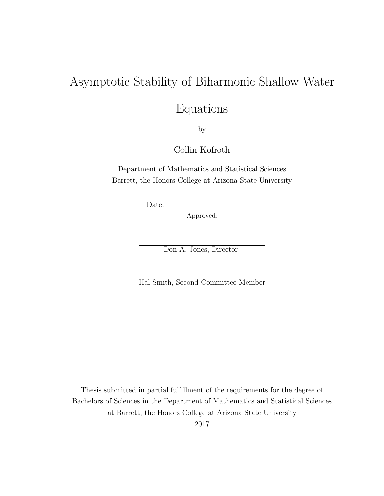### Asymptotic Stability of Biharmonic Shallow Water

### Equations

by

Collin Kofroth

Department of Mathematics and Statistical Sciences Barrett, the Honors College at Arizona State University

Date:  $\equiv$ 

Approved:

Don A. Jones, Director

Hal Smith, Second Committee Member

Thesis submitted in partial fulfillment of the requirements for the degree of Bachelors of Sciences in the Department of Mathematics and Statistical Sciences at Barrett, the Honors College at Arizona State University 2017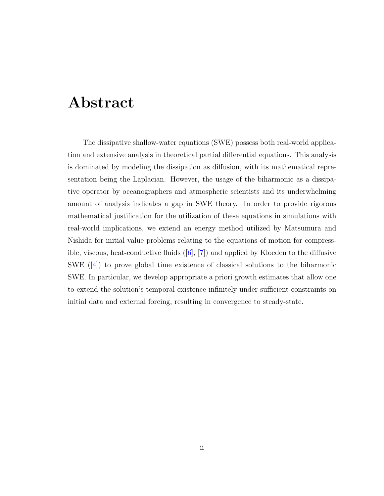## <span id="page-1-0"></span>Abstract

The dissipative shallow-water equations (SWE) possess both real-world application and extensive analysis in theoretical partial differential equations. This analysis is dominated by modeling the dissipation as diffusion, with its mathematical representation being the Laplacian. However, the usage of the biharmonic as a dissipative operator by oceanographers and atmospheric scientists and its underwhelming amount of analysis indicates a gap in SWE theory. In order to provide rigorous mathematical justification for the utilization of these equations in simulations with real-world implications, we extend an energy method utilized by Matsumura and Nishida for initial value problems relating to the equations of motion for compressible, viscous, heat-conductive fluids ([\[6\]](#page-49-0), [\[7\]](#page-49-1)) and applied by Kloeden to the diffusive SWE ([\[4\]](#page-49-2)) to prove global time existence of classical solutions to the biharmonic SWE. In particular, we develop appropriate a priori growth estimates that allow one to extend the solution's temporal existence infinitely under sufficient constraints on initial data and external forcing, resulting in convergence to steady-state.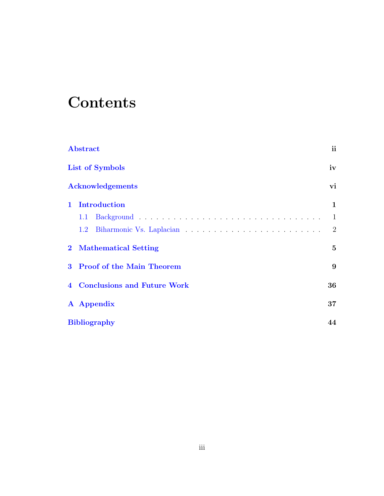## **Contents**

| <b>Abstract</b> |                                      | ii       |
|-----------------|--------------------------------------|----------|
|                 | List of Symbols                      |          |
|                 | <b>Acknowledgements</b>              | vi       |
| $\mathbf{1}$    | <b>Introduction</b>                  | 1        |
|                 | 1.1                                  | 1        |
|                 | $1.2\,$                              | 2        |
|                 | 2 Mathematical Setting               | $\bf{5}$ |
|                 | 3 Proof of the Main Theorem          | 9        |
|                 | <b>4</b> Conclusions and Future Work | 36       |
|                 | A Appendix                           | 37       |
|                 | <b>Bibliography</b>                  | 44       |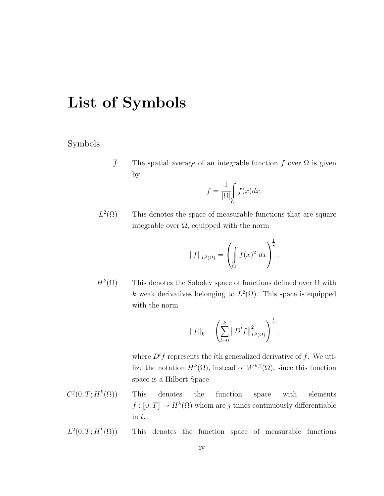## <span id="page-3-0"></span>List of Symbols

### Symbols

 $\overline{f}$  The spatial average of an integrable function f over  $\Omega$  is given by

$$
\overline{f} = \frac{1}{|\Omega|} \int_{\Omega} f(x) dx.
$$

 $L^2$ This denotes the space of measurable functions that are square integrable over  $\Omega$ , equipped with the norm

$$
||f||_{L^{2}(\Omega)} = \left(\int_{\Omega} f(x)^{2} dx\right)^{\frac{1}{2}}.
$$

 $H^k(\Omega)$ This denotes the Sobolev space of functions defined over  $\Omega$  with k weak derivatives belonging to  $L^2(\Omega)$ . This space is equipped with the norm

$$
||f||_{k} = \left(\sum_{l=0}^{k} ||D^{l}f||^{2}_{L^{2}(\Omega)}\right)^{\frac{1}{2}},
$$

where  $D<sup>l</sup>f$  represents the *l*th generalized derivative of f. We utilize the notation  $H^k(\Omega)$ , instead of  $W^{k,2}(\Omega)$ , since this function space is a Hilbert Space.

- $C^j(0,T;H^k)$  $p(0)$  This denotes the function space with elements  $f: [0, T] \to H^k(\Omega)$  whom are j times continuously differentiable in t.
- $L^2(0, T; H^k)$ This denotes the function space of measurable functions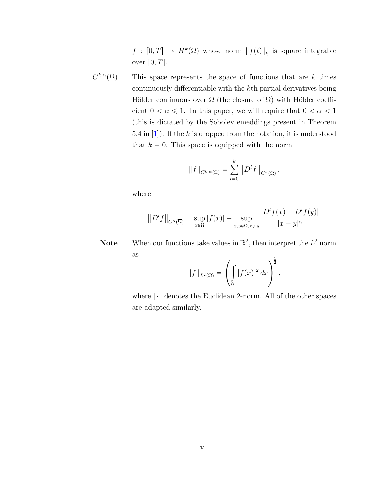$f: [0, T] \to H^k(\Omega)$  whose norm  $||f(t)||_k$  is square integrable over  $[0, T]$ .

 $C^{k,\alpha}(\overline{\Omega})$ This space represents the space of functions that are  $k$  times continuously differentiable with the kth partial derivatives being Hölder continuous over  $\overline{\Omega}$  (the closure of  $\Omega$ ) with Hölder coefficient  $0 < \alpha \leq 1$ . In this paper, we will require that  $0 < \alpha < 1$ (this is dictated by the Sobolev emeddings present in Theorem 5.4 in  $[1]$ ). If the k is dropped from the notation, it is understood that  $k = 0$ . This space is equipped with the norm

$$
||f||_{C^{k,\alpha}(\overline{\Omega})} = \sum_{l=0}^k ||D^l f||_{C^{\alpha}(\overline{\Omega})},
$$

where

$$
||Dlf||C\alpha(\overline{\Omega}) = \sup_{x \in \Omega} |f(x)| + \sup_{x,y \in \overline{\Omega}, x \neq y} \frac{|Dl f(x) - Dl f(y)|}{|x - y|^{\alpha}}.
$$

**Note** When our functions take values in  $\mathbb{R}^2$ , then interpret the  $L^2$  norm as ¨ ˛

$$
||f||_{L^{2}(\Omega)} = \left(\int_{\Omega} |f(x)|^{2} dx\right)^{\frac{1}{2}},
$$

where  $\lvert \cdot \rvert$  denotes the Euclidean 2-norm. All of the other spaces are adapted similarly.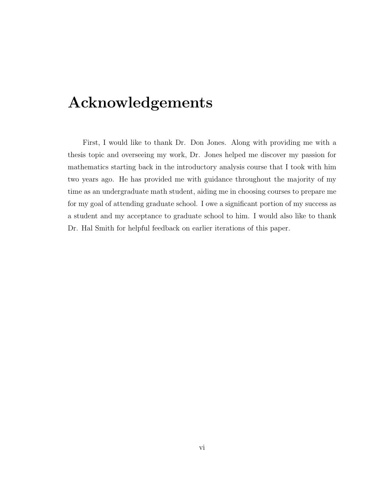## <span id="page-5-0"></span>Acknowledgements

First, I would like to thank Dr. Don Jones. Along with providing me with a thesis topic and overseeing my work, Dr. Jones helped me discover my passion for mathematics starting back in the introductory analysis course that I took with him two years ago. He has provided me with guidance throughout the majority of my time as an undergraduate math student, aiding me in choosing courses to prepare me for my goal of attending graduate school. I owe a significant portion of my success as a student and my acceptance to graduate school to him. I would also like to thank Dr. Hal Smith for helpful feedback on earlier iterations of this paper.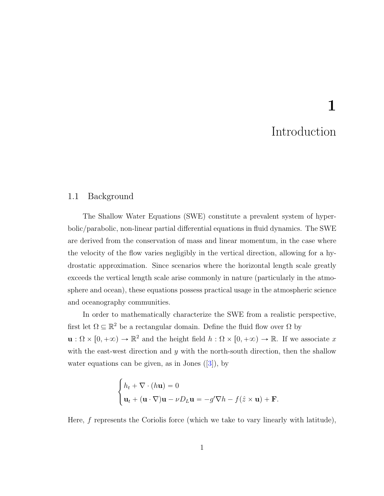# Introduction

1

#### <span id="page-6-1"></span><span id="page-6-0"></span>1.1 Background

The Shallow Water Equations (SWE) constitute a prevalent system of hyperbolic/parabolic, non-linear partial differential equations in fluid dynamics. The SWE are derived from the conservation of mass and linear momentum, in the case where the velocity of the flow varies negligibly in the vertical direction, allowing for a hydrostatic approximation. Since scenarios where the horizontal length scale greatly exceeds the vertical length scale arise commonly in nature (particularly in the atmosphere and ocean), these equations possess practical usage in the atmospheric science and oceanography communities.

In order to mathematically characterize the SWE from a realistic perspective, first let  $\Omega \subseteq \mathbb{R}^2$  be a rectangular domain. Define the fluid flow over  $\Omega$  by  $\mathbf{u}: \Omega \times [0, +\infty) \to \mathbb{R}^2$  and the height field  $h : \Omega \times [0, +\infty) \to \mathbb{R}$ . If we associate x with the east-west direction and  $y$  with the north-south direction, then the shallow water equations can be given, as in Jones  $([3])$  $([3])$  $([3])$ , by

$$
\begin{cases} h_t + \nabla \cdot (h\mathbf{u}) = 0 \\ \mathbf{u}_t + (\mathbf{u} \cdot \nabla)\mathbf{u} - \nu D_L \mathbf{u} = -g'\nabla h - f(\hat{z} \times \mathbf{u}) + \mathbf{F}. \end{cases}
$$

Here,  $f$  represents the Coriolis force (which we take to vary linearly with latitude),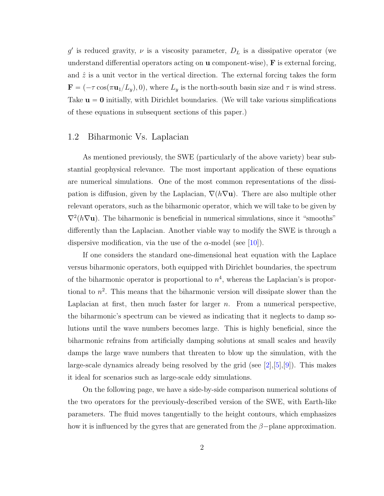g' is reduced gravity,  $\nu$  is a viscosity parameter,  $D_L$  is a dissipative operator (we understand differential operators acting on  $\bf{u}$  component-wise),  $\bf{F}$  is external forcing, and  $\hat{z}$  is a unit vector in the vertical direction. The external forcing takes the form **, where**  $L_y$  **is the north-south basin size and**  $\tau$  **is wind stress.** Take  $\mathbf{u} = \mathbf{0}$  initially, with Dirichlet boundaries. (We will take various simplifications of these equations in subsequent sections of this paper.)

#### <span id="page-7-0"></span>1.2 Biharmonic Vs. Laplacian

As mentioned previously, the SWE (particularly of the above variety) bear substantial geophysical relevance. The most important application of these equations are numerical simulations. One of the most common representations of the dissipation is diffusion, given by the Laplacian,  $\nabla(h\nabla u)$ . There are also multiple other relevant operators, such as the biharmonic operator, which we will take to be given by  $\nabla^2(h\nabla \mathbf{u})$ . The biharmonic is beneficial in numerical simulations, since it "smooths" differently than the Laplacian. Another viable way to modify the SWE is through a dispersive modification, via the use of the  $\alpha$ -model (see [\[10\]](#page-50-0)).

If one considers the standard one-dimensional heat equation with the Laplace versus biharmonic operators, both equipped with Dirichlet boundaries, the spectrum of the biharmonic operator is proportional to  $n<sup>4</sup>$ , whereas the Laplacian's is proportional to  $n^2$ . This means that the biharmonic version will dissipate slower than the Laplacian at first, then much faster for larger  $n$ . From a numerical perspective, the biharmonic's spectrum can be viewed as indicating that it neglects to damp solutions until the wave numbers becomes large. This is highly beneficial, since the biharmonic refrains from artificially damping solutions at small scales and heavily damps the large wave numbers that threaten to blow up the simulation, with the large-scale dynamics already being resolved by the grid (see  $[2],[5],[9]$  $[2],[5],[9]$  $[2],[5],[9]$  $[2],[5],[9]$  $[2],[5],[9]$ ). This makes it ideal for scenarios such as large-scale eddy simulations.

On the following page, we have a side-by-side comparison numerical solutions of the two operators for the previously-described version of the SWE, with Earth-like parameters. The fluid moves tangentially to the height contours, which emphasizes how it is influenced by the gyres that are generated from the  $\beta$ -plane approximation.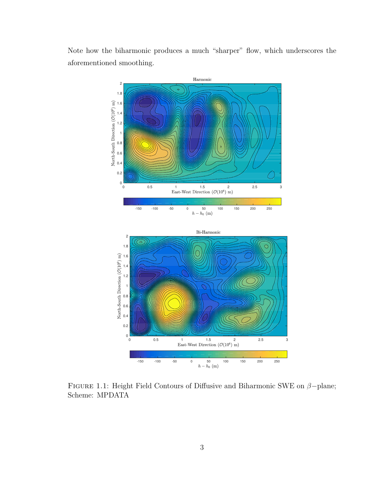Note how the biharmonic produces a much "sharper" flow, which underscores the aforementioned smoothing.





FIGURE 1.1: Height Field Contours of Diffusive and Biharmonic SWE on  $\beta$ -plane; Scheme: MPDATA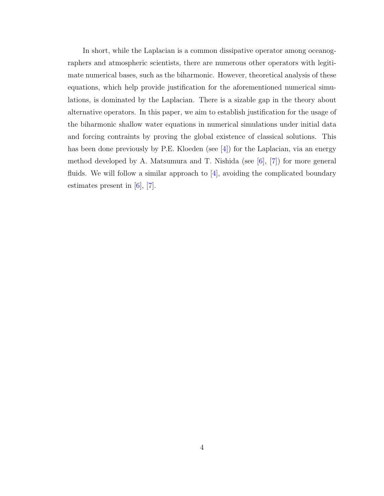In short, while the Laplacian is a common dissipative operator among oceanographers and atmospheric scientists, there are numerous other operators with legitimate numerical bases, such as the biharmonic. However, theoretical analysis of these equations, which help provide justification for the aforementioned numerical simulations, is dominated by the Laplacian. There is a sizable gap in the theory about alternative operators. In this paper, we aim to establish justification for the usage of the biharmonic shallow water equations in numerical simulations under initial data and forcing contraints by proving the global existence of classical solutions. This has been done previously by P.E. Kloeden (see [\[4\]](#page-49-2)) for the Laplacian, via an energy method developed by A. Matsumura and T. Nishida (see [\[6\]](#page-49-0), [\[7\]](#page-49-1)) for more general fluids. We will follow a similar approach to  $[4]$ , avoiding the complicated boundary estimates present in [\[6\]](#page-49-0), [\[7\]](#page-49-1).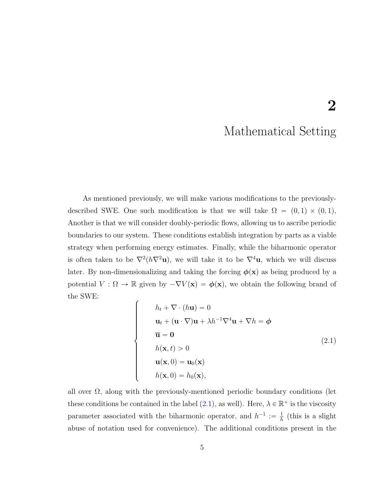## 2

### Mathematical Setting

<span id="page-10-0"></span>As mentioned previously, we will make various modifications to the previouslydescribed SWE. One such modification is that we will take  $\Omega = (0, 1) \times (0, 1)$ , Another is that we will consider doubly-periodic flows, allowing us to ascribe periodic boundaries to our system. These conditions establish integration by parts as a viable strategy when performing energy estimates. Finally, while the biharmonic operator is often taken to be  $\nabla^2(h\nabla^2\mathbf{u})$ , we will take it to be  $\nabla^4\mathbf{u}$ , which we will discuss later. By non-dimensionalizing and taking the forcing  $\phi(\mathbf{x})$  as being produced by a potential  $V : \Omega \to \mathbb{R}$  given by  $-\nabla V(\mathbf{x}) = \phi(\mathbf{x})$ , we obtain the following brand of the SWE:

''''''''''''&

<span id="page-10-1"></span> $\left.\rule{0pt}{10pt}\right]$ 

$$
h_t + \nabla \cdot (h\mathbf{u}) = 0
$$
  
\n
$$
\mathbf{u}_t + (\mathbf{u} \cdot \nabla)\mathbf{u} + \lambda h^{-1} \nabla^4 \mathbf{u} + \nabla h = \phi
$$
  
\n
$$
\overline{\mathbf{u}} = \mathbf{0}
$$
  
\n
$$
h(\mathbf{x}, t) > 0
$$
  
\n
$$
\mathbf{u}(\mathbf{x}, 0) = \mathbf{u}_0(\mathbf{x})
$$
  
\n
$$
h(\mathbf{x}, 0) = h_0(\mathbf{x}),
$$
\n(2.1)

all over  $\Omega$ , along with the previously-mentioned periodic boundary conditions (let these conditions be contained in the label  $(2.1)$ , as well). Here,  $\lambda \in \mathbb{R}^+$  is the viscosity parameter associated with the biharmonic operator, and  $h^{-1} := \frac{1}{h}$  $\frac{1}{h}$  (this is a slight abuse of notation used for convenience). The additional conditions present in the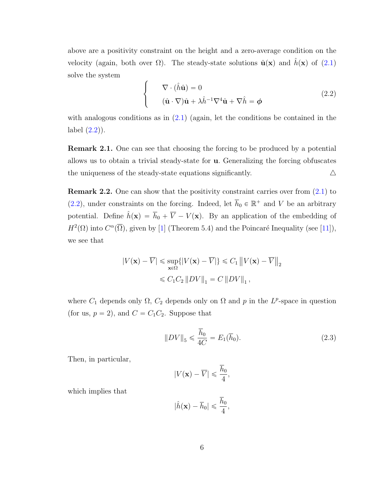above are a positivity constraint on the height and a zero-average condition on the velocity (again, both over  $\Omega$ ). The steady-state solutions  $\hat{\mathbf{u}}(\mathbf{x})$  and  $\hat{h}(\mathbf{x})$  of [\(2.1\)](#page-10-1) solve the system

<span id="page-11-0"></span>
$$
\begin{cases}\n\nabla \cdot (\hat{h}\hat{\mathbf{u}}) = 0 \\
(\hat{\mathbf{u}} \cdot \nabla)\hat{\mathbf{u}} + \lambda \hat{h}^{-1} \nabla^4 \hat{\mathbf{u}} + \nabla \hat{h} = \phi\n\end{cases}
$$
\n(2.2)

with analogous conditions as in  $(2.1)$  (again, let the conditions be contained in the label  $(2.2)$ .

Remark 2.1. One can see that choosing the forcing to be produced by a potential allows us to obtain a trivial steady-state for u. Generalizing the forcing obfuscates the uniqueness of the steady-state equations significantly.  $\Delta$ 

Remark 2.2. One can show that the positivity constraint carries over from [\(2.1\)](#page-10-1) to [\(2.2\)](#page-11-0), under constraints on the forcing. Indeed, let  $\overline{h}_0 \in \mathbb{R}^+$  and V be an arbitrary potential. Define  $\hat{h}(\mathbf{x}) = \overline{h}_0 + \overline{V} - V(\mathbf{x})$ . By an application of the embedding of  $H^2(\Omega)$  into  $C^{\alpha}(\overline{\Omega})$ , given by [\[1\]](#page-49-4) (Theorem 5.4) and the Poincaré Inequality (see [\[11\]](#page-50-1)), we see that

$$
|V(\mathbf{x}) - \overline{V}| \le \sup_{\mathbf{x} \in \Omega} \{ |V(\mathbf{x}) - \overline{V}| \} \le C_1 ||V(\mathbf{x}) - \overline{V}||_2
$$
  

$$
\le C_1 C_2 ||DV||_1 = C ||DV||_1,
$$

where  $C_1$  depends only  $\Omega$ ,  $C_2$  depends only on  $\Omega$  and p in the L<sup>p</sup>-space in question (for us,  $p = 2$ ), and  $C = C_1 C_2$ . Suppose that

<span id="page-11-1"></span>
$$
||DV||_5 \le \frac{\overline{h}_0}{4C} = E_1(\overline{h}_0). \tag{2.3}
$$

Then, in particular,

$$
|V(\mathbf{x}) - \overline{V}| \leqslant \frac{\overline{h}_0}{4},
$$

which implies that

$$
|\hat{h}(\mathbf{x}) - \overline{h}_0| \leqslant \frac{\overline{h}_0}{4},
$$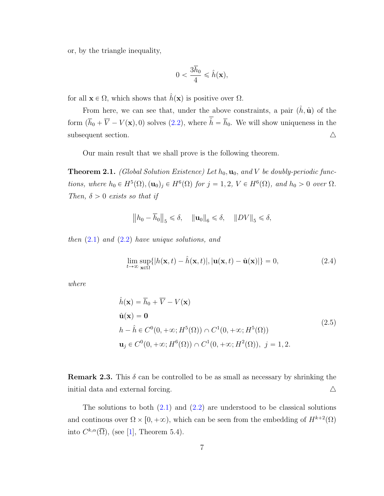or, by the triangle inequality,

$$
0 < \frac{3\bar{h}_0}{4} \leqslant \hat{h}(\mathbf{x}),
$$

for all  $\mathbf{x} \in \Omega$ , which shows that  $\hat{h}(\mathbf{x})$  is positive over  $\Omega$ .

From here, we can see that, under the above constraints, a pair  $(\hat{h}, \hat{u})$  of the form  $(\bar{h}_0 + \overline{V} - V(\mathbf{x}), 0)$  solves [\(2.2\)](#page-11-0), where  $\overline{\hat{h}} = \overline{h}_0$ . We will show uniqueness in the subsequent section.  $\triangle$ 

Our main result that we shall prove is the following theorem.

<span id="page-12-1"></span>**Theorem 2.1.** (Global Solution Existence) Let  $h_0$ ,  $\mathbf{u}_0$ , and V be doubly-periodic functions, where  $h_0 \in H^5(\Omega)$ ,  $(\mathbf{u}_0)_j \in H^6(\Omega)$  for  $j = 1, 2, V \in H^6(\Omega)$ , and  $h_0 > 0$  over  $\Omega$ . Then,  $\delta > 0$  exists so that if

$$
\left\| h_0 - \overline{h}_0 \right\|_5 \leq \delta, \quad \left\| \mathbf{u}_0 \right\|_6 \leq \delta, \quad \left\| DV \right\|_5 \leq \delta,
$$

then  $(2.1)$  and  $(2.2)$  have unique solutions, and

<span id="page-12-0"></span>
$$
\lim_{t \to \infty} \sup_{\mathbf{x} \in \Omega} \{ |h(\mathbf{x}, t) - \hat{h}(\mathbf{x}, t)|, |\mathbf{u}(\mathbf{x}, t) - \hat{\mathbf{u}}(\mathbf{x})| \} = 0,
$$
\n(2.4)

where

$$
\hat{h}(\mathbf{x}) = \overline{h}_0 + \overline{V} - V(\mathbf{x})
$$
\n
$$
\hat{\mathbf{u}}(\mathbf{x}) = \mathbf{0}
$$
\n
$$
h - \hat{h} \in C^0(0, +\infty; H^5(\Omega)) \cap C^1(0, +\infty; H^5(\Omega))
$$
\n
$$
\mathbf{u}_j \in C^0(0, +\infty; H^6(\Omega)) \cap C^1(0, +\infty; H^2(\Omega)), \ j = 1, 2.
$$
\n(2.5)

**Remark 2.3.** This  $\delta$  can be controlled to be as small as necessary by shrinking the initial data and external forcing.  $\triangle$ 

The solutions to both  $(2.1)$  and  $(2.2)$  are understood to be classical solutions and continous over  $\Omega \times [0, +\infty)$ , which can be seen from the embedding of  $H^{k+2}(\Omega)$ into  $C^{k,\alpha}(\overline{\Omega})$ , (see [\[1\]](#page-49-4), Theorem 5.4).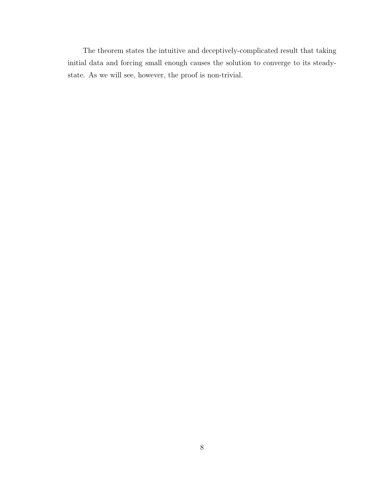The theorem states the intuitive and deceptively-complicated result that taking initial data and forcing small enough causes the solution to converge to its steadystate. As we will see, however, the proof is non-trivial.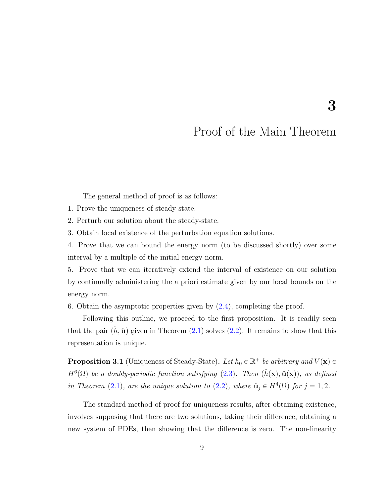### Proof of the Main Theorem

<span id="page-14-0"></span>The general method of proof is as follows:

1. Prove the uniqueness of steady-state.

2. Perturb our solution about the steady-state.

3. Obtain local existence of the perturbation equation solutions.

4. Prove that we can bound the energy norm (to be discussed shortly) over some interval by a multiple of the initial energy norm.

5. Prove that we can iteratively extend the interval of existence on our solution by continually administering the a priori estimate given by our local bounds on the energy norm.

6. Obtain the asymptotic properties given by  $(2.4)$ , completing the proof.

Following this outline, we proceed to the first proposition. It is readily seen that the pair  $(\hat{h}, \hat{u})$  given in Theorem [\(2.1\)](#page-12-1) solves [\(2.2\)](#page-11-0). It remains to show that this representation is unique.

<span id="page-14-1"></span>**Proposition 3.1** (Uniqueness of Steady-State). Let  $\overline{h}_0 \in \mathbb{R}^+$  be arbitrary and  $V(\mathbf{x}) \in$  $H^6(\Omega)$  be a doubly-periodic function satisfying [\(2.3\)](#page-11-1). Then  $(\hat{h}(\mathbf{x}), \hat{\mathbf{u}}(\mathbf{x}))$ , as defined in Theorem [\(2.1\)](#page-12-1), are the unique solution to [\(2.2\)](#page-11-0), where  $\hat{\mathbf{u}}_j \in H^4(\Omega)$  for  $j = 1, 2$ .

The standard method of proof for uniqueness results, after obtaining existence, involves supposing that there are two solutions, taking their difference, obtaining a new system of PDEs, then showing that the difference is zero. The non-linearity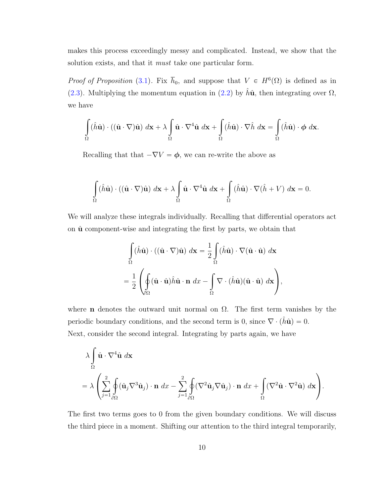makes this process exceedingly messy and complicated. Instead, we show that the solution exists, and that it *must* take one particular form.

*Proof of Proposition* [\(3.1\)](#page-14-1). Fix  $\bar{h}_0$ , and suppose that  $V \in H^6(\Omega)$  is defined as in [\(2.3\)](#page-11-1). Multiplying the momentum equation in [\(2.2\)](#page-11-0) by  $\hat{h}\hat{\mathbf{u}}$ , then integrating over  $\Omega$ , we have

$$
\int_{\Omega} (\hat{h}\hat{\mathbf{u}}) \cdot ((\hat{\mathbf{u}} \cdot \nabla)\hat{\mathbf{u}}) \, d\mathbf{x} + \lambda \int_{\Omega} \hat{\mathbf{u}} \cdot \nabla^4 \hat{\mathbf{u}} \, d\mathbf{x} + \int_{\Omega} (\hat{h}\hat{\mathbf{u}}) \cdot \nabla \hat{h} \, d\mathbf{x} = \int_{\Omega} (\hat{h}\hat{\mathbf{u}}) \cdot \phi \, d\mathbf{x}.
$$

Recalling that that  $-\nabla V = \phi$ , we can re-write the above as

$$
\int_{\Omega} (\hat{h}\hat{\mathbf{u}}) \cdot ((\hat{\mathbf{u}} \cdot \nabla)\hat{\mathbf{u}}) \, d\mathbf{x} + \lambda \int_{\Omega} \hat{\mathbf{u}} \cdot \nabla^4 \hat{\mathbf{u}} \, d\mathbf{x} + \int_{\Omega} (\hat{h}\hat{\mathbf{u}}) \cdot \nabla (\hat{h} + V) \, d\mathbf{x} = 0.
$$

We will analyze these integrals individually. Recalling that differential operators act on  $\hat{u}$  component-wise and integrating the first by parts, we obtain that

$$
\int_{\Omega} (\hat{h}\hat{\mathbf{u}}) \cdot ((\hat{\mathbf{u}} \cdot \nabla)\hat{\mathbf{u}}) d\mathbf{x} = \frac{1}{2} \int_{\Omega} (\hat{h}\hat{\mathbf{u}}) \cdot \nabla (\hat{\mathbf{u}} \cdot \hat{\mathbf{u}}) d\mathbf{x}
$$

$$
= \frac{1}{2} \left( \oint_{\partial\Omega} (\hat{\mathbf{u}} \cdot \hat{\mathbf{u}}) \hat{h}\hat{\mathbf{u}} \cdot \mathbf{n} d\mathbf{x} - \int_{\Omega} \nabla \cdot (\hat{h}\hat{\mathbf{u}}) (\hat{\mathbf{u}} \cdot \hat{\mathbf{u}}) d\mathbf{x} \right),
$$

where **n** denotes the outward unit normal on  $\Omega$ . The first term vanishes by the periodic boundary conditions, and the second term is 0, since  $\nabla \cdot (\hat{h}\hat{\mathbf{u}}) = 0$ . Next, consider the second integral. Integrating by parts again, we have

$$
\lambda \int_{\Omega} \hat{\mathbf{u}} \cdot \nabla^4 \hat{\mathbf{u}} \, d\mathbf{x} \n= \lambda \left( \sum_{j=1}^2 \oint_{\partial \Omega} (\hat{\mathbf{u}}_j \nabla^3 \hat{\mathbf{u}}_j) \cdot \mathbf{n} \, dx - \sum_{j=1}^2 \oint_{\partial \Omega} (\nabla^2 \hat{\mathbf{u}}_j \nabla \hat{\mathbf{u}}_j) \cdot \mathbf{n} \, dx + \int_{\Omega} (\nabla^2 \hat{\mathbf{u}} \cdot \nabla^2 \hat{\mathbf{u}}) \, d\mathbf{x} \right).
$$

The first two terms goes to 0 from the given boundary conditions. We will discuss the third piece in a moment. Shifting our attention to the third integral temporarily,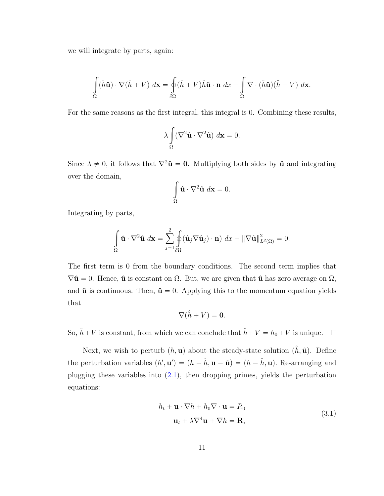we will integrate by parts, again:

$$
\int_{\Omega} (\hat{h}\hat{\mathbf{u}}) \cdot \nabla (\hat{h} + V) \, d\mathbf{x} = \oint_{\partial\Omega} (\hat{h} + V) \hat{h}\hat{\mathbf{u}} \cdot \mathbf{n} \, dx - \int_{\Omega} \nabla \cdot (\hat{h}\hat{\mathbf{u}}) (\hat{h} + V) \, d\mathbf{x}.
$$

For the same reasons as the first integral, this integral is 0. Combining these results,

$$
\lambda \int_{\Omega} (\nabla^2 \hat{\mathbf{u}} \cdot \nabla^2 \hat{\mathbf{u}}) \, d\mathbf{x} = 0.
$$

Since  $\lambda \neq 0$ , it follows that  $\nabla^2 \hat{\mathbf{u}} = \mathbf{0}$ . Multiplying both sides by  $\hat{\mathbf{u}}$  and integrating over the domain,

$$
\int_{\Omega} \hat{\mathbf{u}} \cdot \nabla^2 \hat{\mathbf{u}} \, d\mathbf{x} = 0.
$$

Integrating by parts,

$$
\int_{\Omega} \hat{\mathbf{u}} \cdot \nabla^2 \hat{\mathbf{u}} \, d\mathbf{x} = \sum_{j=1}^2 \oint_{\partial \Omega} (\hat{\mathbf{u}}_j \nabla \hat{\mathbf{u}}_j) \cdot \mathbf{n} \, d\mathbf{x} - ||\nabla \hat{\mathbf{u}}||^2_{L^2(\Omega)} = 0.
$$

The first term is 0 from the boundary conditions. The second term implies that  $\nabla \hat{\mathbf{u}} = 0$ . Hence,  $\hat{\mathbf{u}}$  is constant on  $\Omega$ . But, we are given that  $\hat{\mathbf{u}}$  has zero average on  $\Omega$ , and  $\hat{u}$  is continuous. Then,  $\hat{u} = 0$ . Applying this to the momentum equation yields that

$$
\nabla(\hat{h}+V)=\mathbf{0}.
$$

So,  $\hat{h} + V$  is constant, from which we can conclude that  $\hat{h} + V = \overline{h}_0 + \overline{V}$  is unique.  $\Box$ 

<span id="page-16-0"></span>Next, we wish to perturb  $(h, \mathbf{u})$  about the steady-state solution  $(\hat{h}, \hat{\mathbf{u}})$ . Define the perturbation variables  $(h', \mathbf{u}') = (h - \hat{h}, \mathbf{u} - \hat{\mathbf{u}}) = (h - \hat{h}, \mathbf{u})$ . Re-arranging and plugging these variables into  $(2.1)$ , then dropping primes, yields the perturbation equations:

$$
h_t + \mathbf{u} \cdot \nabla h + h_0 \nabla \cdot \mathbf{u} = R_0
$$
  

$$
\mathbf{u}_t + \lambda \nabla^4 \mathbf{u} + \nabla h = \mathbf{R},
$$
 (3.1)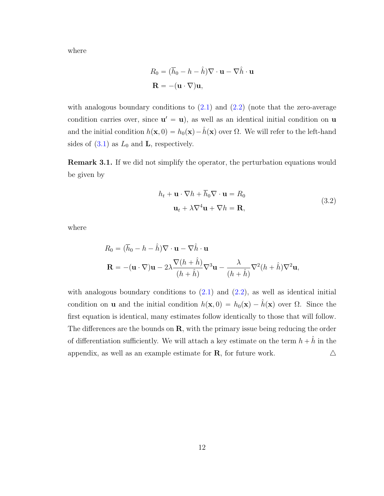where

$$
R_0 = (\overline{h}_0 - h - \hat{h}) \nabla \cdot \mathbf{u} - \nabla \hat{h} \cdot \mathbf{u}
$$

$$
\mathbf{R} = -(\mathbf{u} \cdot \nabla) \mathbf{u},
$$

with analogous boundary conditions to  $(2.1)$  and  $(2.2)$  (note that the zero-average condition carries over, since  $\mathbf{u}' = \mathbf{u}$ , as well as an identical initial condition on **u** and the initial condition  $h(\mathbf{x}, 0) = h_0(\mathbf{x}) - \hat{h}(\mathbf{x})$  over  $\Omega$ . We will refer to the left-hand sides of  $(3.1)$  as  $L_0$  and **L**, respectively.

Remark 3.1. If we did not simplify the operator, the perturbation equations would be given by

$$
h_t + \mathbf{u} \cdot \nabla h + \overline{h}_0 \nabla \cdot \mathbf{u} = R_0
$$
  

$$
\mathbf{u}_t + \lambda \nabla^4 \mathbf{u} + \nabla h = \mathbf{R},
$$
 (3.2)

<span id="page-17-0"></span>where

$$
R_0 = (\overline{h}_0 - h - \hat{h}) \nabla \cdot \mathbf{u} - \nabla \hat{h} \cdot \mathbf{u}
$$
  

$$
\mathbf{R} = -(\mathbf{u} \cdot \nabla)\mathbf{u} - 2\lambda \frac{\nabla (h + \hat{h})}{(h + \hat{h})} \nabla^3 \mathbf{u} - \frac{\lambda}{(h + \hat{h})} \nabla^2 (h + \hat{h}) \nabla^2 \mathbf{u},
$$

with analogous boundary conditions to  $(2.1)$  and  $(2.2)$ , as well as identical initial condition on **u** and the initial condition  $h(\mathbf{x}, 0) = h_0(\mathbf{x}) - \hat{h}(\mathbf{x})$  over  $\Omega$ . Since the first equation is identical, many estimates follow identically to those that will follow. The differences are the bounds on  $\mathbf{R}$ , with the primary issue being reducing the order of differentiation sufficiently. We will attach a key estimate on the term  $h + \hat{h}$  in the appendix, as well as an example estimate for **R**, for future work.  $\triangle$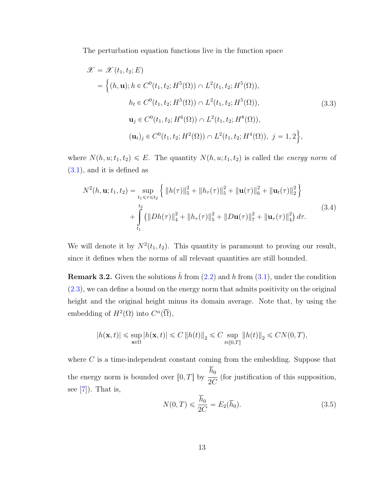The perturbation equation functions live in the function space

$$
\mathcal{X} = \mathcal{X}(t_1, t_2; E)
$$
  
=  $\{(h, \mathbf{u}); h \in C^0(t_1, t_2; H^5(\Omega)) \cap L^2(t_1, t_2; H^5(\Omega)),$   

$$
h_t \in C^0(t_1, t_2; H^5(\Omega)) \cap L^2(t_1, t_2; H^5(\Omega)),
$$
  

$$
\mathbf{u}_j \in C^0(t_1, t_2; H^6(\Omega)) \cap L^2(t_1, t_2; H^8(\Omega)),
$$
  

$$
(\mathbf{u}_t)_j \in C^0(t_1, t_2; H^2(\Omega)) \cap L^2(t_1, t_2; H^4(\Omega)), j = 1, 2\},
$$
 (3.3)

where  $N(h, u; t_1, t_2) \leq E$ . The quantity  $N(h, u; t_1, t_2)$  is called the energy norm of [\(3.1\)](#page-16-0), and it is defined as

$$
N^{2}(h, \mathbf{u}; t_{1}, t_{2}) = \sup_{t_{1} \leq \tau \leq t_{2}} \left\{ ||h(\tau)||_{5}^{2} + ||h_{\tau}(\tau)||_{5}^{2} + ||\mathbf{u}(\tau)||_{6}^{2} + ||\mathbf{u}_{t}(\tau)||_{2}^{2} \right\} + \int_{t_{1}}^{t_{2}} (||Dh(\tau)||_{4}^{2} + ||h_{\tau}(\tau)||_{5}^{2} + ||D\mathbf{u}(\tau)||_{7}^{2} + ||\mathbf{u}_{\tau}(\tau)||_{4}^{2}) d\tau.
$$
\n(3.4)

We will denote it by  $N^2(t_1, t_2)$ . This quantity is paramount to proving our result, since it defines when the norms of all relevant quantities are still bounded.

**Remark 3.2.** Given the solutions  $\hat{h}$  from [\(2.2\)](#page-11-0) and h from [\(3.1\)](#page-16-0), under the condition [\(2.3\)](#page-11-1), we can define a bound on the energy norm that admits positivity on the original height and the original height minus its domain average. Note that, by using the embedding of  $H^2(\Omega)$  into  $C^{\alpha}(\overline{\Omega}),$ 

$$
|h(\mathbf{x},t)| \leq \sup_{\mathbf{x}\in\Omega}|h(\mathbf{x},t)|\leq C\left\|h(t)\right\|_2\leq C\sup_{t\in[0,T]}\left\|h(t)\right\|_2\leq CN(0,T),
$$

where  $C$  is a time-independent constant coming from the embedding. Suppose that the energy norm is bounded over  $[0, T]$  by  $h_{0}$ 2C (for justification of this supposition, see  $[7]$ ). That is,

<span id="page-18-0"></span>
$$
N(0,T) \leq \frac{\overline{h}_0}{2C} = E_2(\overline{h}_0).
$$
 (3.5)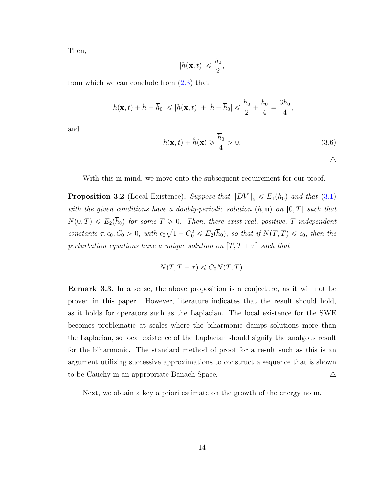Then,

$$
|h(\mathbf{x},t)| \leqslant \frac{\overline{h}_0}{2},
$$

from which we can conclude from  $(2.3)$  that

$$
|h(\mathbf{x},t)+\hat{h}-\overline{h}_0|\leqslant |h(\mathbf{x},t)|+|\hat{h}-\overline{h}_0|\leqslant \frac{\overline{h}_0}{2}+\frac{\overline{h}_0}{4}=\frac{3\overline{h}_0}{4},
$$

and

<span id="page-19-1"></span>
$$
h(\mathbf{x},t) + \hat{h}(\mathbf{x}) \ge \frac{\overline{h}_0}{4} > 0.
$$
\n(3.6)

With this in mind, we move onto the subsequent requirement for our proof.

<span id="page-19-0"></span>**Proposition 3.2** (Local Existence). Suppose that  $||DV||_5 \le E_1(\bar{h}_0)$  and that [\(3.1\)](#page-16-0) with the given conditions have a doubly-periodic solution  $(h, \mathbf{u})$  on  $[0, T]$  such that  $N(0, T) \leqslant E_2(h_0)$  for some  $T \geqslant 0$ . Then, there exist real, positive, T-independent constants  $\tau, \epsilon_0, C_0 > 0$ , with  $\epsilon_0 \sqrt{1 + C_0^2} \leq E_2(\overline{h}_0)$ , so that if  $N(T, T) \leq \epsilon_0$ , then the perturbation equations have a unique solution on  $[T, T + \tau]$  such that

$$
N(T, T + \tau) \leq C_0 N(T, T).
$$

Remark 3.3. In a sense, the above proposition is a conjecture, as it will not be proven in this paper. However, literature indicates that the result should hold, as it holds for operators such as the Laplacian. The local existence for the SWE becomes problematic at scales where the biharmonic damps solutions more than the Laplacian, so local existence of the Laplacian should signify the analgous result for the biharmonic. The standard method of proof for a result such as this is an argument utilizing successive approximations to construct a sequence that is shown to be Cauchy in an appropriate Banach Space.  $\Delta$ 

Next, we obtain a key a priori estimate on the growth of the energy norm.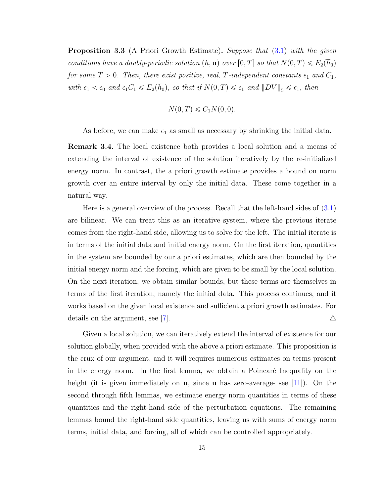<span id="page-20-0"></span>**Proposition 3.3** (A Priori Growth Estimate). Suppose that  $(3.1)$  with the given conditions have a doubly-periodic solution  $(h, \mathbf{u})$  over  $[0, T]$  so that  $N(0, T) \leq E_2(h_0)$ for some  $T > 0$ . Then, there exist positive, real, T-independent constants  $\epsilon_1$  and  $C_1$ , with  $\epsilon_1 < \epsilon_0$  and  $\epsilon_1 C_1 \leqslant E_2(\overline{h}_0)$ , so that if  $N(0, T) \leqslant \epsilon_1$  and  $||DV||_5 \leqslant \epsilon_1$ , then

$$
N(0,T) \leqslant C_1 N(0,0).
$$

As before, we can make  $\epsilon_1$  as small as necessary by shrinking the initial data.

Remark 3.4. The local existence both provides a local solution and a means of extending the interval of existence of the solution iteratively by the re-initialized energy norm. In contrast, the a priori growth estimate provides a bound on norm growth over an entire interval by only the initial data. These come together in a natural way.

Here is a general overview of the process. Recall that the left-hand sides of [\(3.1\)](#page-16-0) are bilinear. We can treat this as an iterative system, where the previous iterate comes from the right-hand side, allowing us to solve for the left. The initial iterate is in terms of the initial data and initial energy norm. On the first iteration, quantities in the system are bounded by our a priori estimates, which are then bounded by the initial energy norm and the forcing, which are given to be small by the local solution. On the next iteration, we obtain similar bounds, but these terms are themselves in terms of the first iteration, namely the initial data. This process continues, and it works based on the given local existence and sufficient a priori growth estimates. For details on the argument, see [\[7\]](#page-49-1).  $\triangle$ 

Given a local solution, we can iteratively extend the interval of existence for our solution globally, when provided with the above a priori estimate. This proposition is the crux of our argument, and it will requires numerous estimates on terms present in the energy norm. In the first lemma, we obtain a Poincaré Inequality on the height (it is given immediately on **u**, since **u** has zero-average- see [\[11\]](#page-50-1)). On the second through fifth lemmas, we estimate energy norm quantities in terms of these quantities and the right-hand side of the perturbation equations. The remaining lemmas bound the right-hand side quantities, leaving us with sums of energy norm terms, initial data, and forcing, all of which can be controlled appropriately.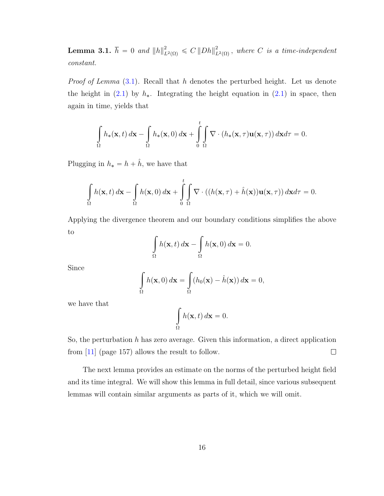<span id="page-21-0"></span>Lemma 3.1.  $\overline{h} = 0$  and  $\|h\|_{L^2(\Omega)}^2 \leqslant C \left\|Dh\right\|_I^2$  $L^2_{L^2(\Omega)}$ , where C is a time-independent constant.

*Proof of Lemma*  $(3.1)$ . Recall that h denotes the perturbed height. Let us denote the height in  $(2.1)$  by  $h_{*}$ . Integrating the height equation in  $(2.1)$  in space, then again in time, yields that

$$
\int_{\Omega} h_*(\mathbf{x},t) d\mathbf{x} - \int_{\Omega} h_*(\mathbf{x},0) d\mathbf{x} + \int_{0}^t \int_{\Omega} \nabla \cdot (h_*(\mathbf{x},\tau) \mathbf{u}(\mathbf{x},\tau)) d\mathbf{x} d\tau = 0.
$$

Plugging in  $h_* = h + \hat{h}$ , we have that

$$
\int_{\Omega} h(\mathbf{x},t) d\mathbf{x} - \int_{\Omega} h(\mathbf{x},0) d\mathbf{x} + \int_{0}^{t} \int_{\Omega} \nabla \cdot ((h(\mathbf{x},\tau) + \hat{h}(\mathbf{x})) \mathbf{u}(\mathbf{x},\tau)) d\mathbf{x} d\tau = 0.
$$

Applying the divergence theorem and our boundary conditions simplifies the above to

$$
\int_{\Omega} h(\mathbf{x},t) d\mathbf{x} - \int_{\Omega} h(\mathbf{x},0) d\mathbf{x} = 0.
$$

Since

$$
\int_{\Omega} h(\mathbf{x},0) d\mathbf{x} = \int_{\Omega} (h_0(\mathbf{x}) - \hat{h}(\mathbf{x})) d\mathbf{x} = 0,
$$

we have that

$$
\int_{\Omega} h(\mathbf{x}, t) \, d\mathbf{x} = 0.
$$

So, the perturbation  $h$  has zero average. Given this information, a direct application from [\[11\]](#page-50-1) (page 157) allows the result to follow.  $\Box$ 

The next lemma provides an estimate on the norms of the perturbed height field and its time integral. We will show this lemma in full detail, since various subsequent lemmas will contain similar arguments as parts of it, which we will omit.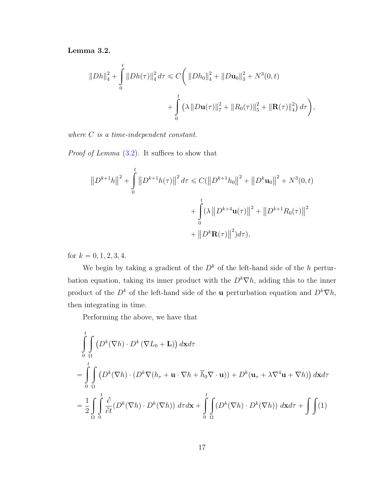#### <span id="page-22-0"></span>Lemma 3.2.

$$
||Dh||_4^2 + \int_0^t ||Dh(\tau)||_4^2 d\tau \leq C \bigg( ||Dh_0||_4^2 + ||D\mathbf{u}_0||_3^2 + N^3(0, t) + \int_0^t (\lambda ||D\mathbf{u}(\tau)||_7^2 + ||R_0(\tau)||_5^2 + ||\mathbf{R}(\tau)||_4^2) d\tau \bigg),
$$

where *C* is a time-independent constant.

Proof of Lemma  $(3.2)$ . It suffices to show that

$$
||D^{k+1}h||^{2} + \int_{0}^{t} ||D^{k+1}h(\tau)||^{2} d\tau \leq C(||D^{k+1}h_{0}||^{2} + ||D^{k}\mathbf{u}_{0}||^{2} + N^{3}(0,t)
$$
  
+ 
$$
\int_{0}^{t} (\lambda ||D^{k+4}\mathbf{u}(\tau)||^{2} + ||D^{k+1}R_{0}(\tau)||^{2}
$$
  
+ 
$$
||D^{k}\mathbf{R}(\tau)||^{2})d\tau),
$$

for  $k = 0, 1, 2, 3, 4$ .

We begin by taking a gradient of the  $D<sup>k</sup>$  of the left-hand side of the h perturbation equation, taking its inner product with the  $D^k \nabla h$ , adding this to the inner product of the  $D^k$  of the left-hand side of the **u** perturbation equation and  $D^k \nabla h$ , then integrating in time.

Performing the above, we have that

$$
\int_{0}^{t} \int_{\Omega} \left( D^{k}(\nabla h) \cdot D^{k}(\nabla L_{0} + \mathbf{L}) \right) d\mathbf{x} d\tau
$$
\n
$$
= \int_{0}^{t} \int_{\Omega} \left( D^{k}(\nabla h) \cdot (D^{k} \nabla (h_{\tau} + \mathbf{u} \cdot \nabla h + \overline{h}_{0} \nabla \cdot \mathbf{u})) + D^{k}(\mathbf{u}_{\tau} + \lambda \nabla^{4} \mathbf{u} + \nabla h) \right) d\mathbf{x} d\tau
$$
\n
$$
= \frac{1}{2} \int_{\Omega} \int_{0}^{t} \frac{\partial}{\partial t} (D^{k}(\nabla h) \cdot D^{k}(\nabla h)) d\tau d\mathbf{x} + \int_{0}^{t} \int_{\Omega} (D^{k}(\nabla h) \cdot D^{k}(\nabla h)) d\mathbf{x} d\tau + \int_{0}^{t} \int_{\Omega} (1)
$$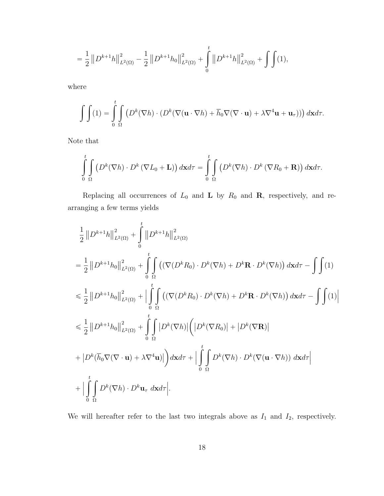$$
= \frac{1}{2} \left\| D^{k+1} h \right\|_{L^2(\Omega)}^2 - \frac{1}{2} \left\| D^{k+1} h_0 \right\|_{L^2(\Omega)}^2 + \int\limits_0^t \left\| D^{k+1} h \right\|_{L^2(\Omega)}^2 + \int\limits \int (1),
$$

where

$$
\int\int\int\limits_0^t (1) \, du = \int\limits_0^t \int\limits_\Omega \left( D^k(\nabla h) \cdot (D^k(\nabla (\mathbf{u} \cdot \nabla h) + \overline{h}_0 \nabla (\nabla \cdot \mathbf{u}) + \lambda \nabla^4 \mathbf{u} + \mathbf{u}_\tau) ) \right) d\mathbf{x} d\tau.
$$

Note that

$$
\int_{0}^{t} \int_{\Omega} \left( D^{k}(\nabla h) \cdot D^{k}(\nabla L_{0} + \mathbf{L}) \right) d\mathbf{x} d\tau = \int_{0}^{t} \int_{\Omega} \left( D^{k}(\nabla h) \cdot D^{k}(\nabla R_{0} + \mathbf{R}) \right) d\mathbf{x} d\tau.
$$

Replacing all occurrences of  $L_0$  and  $L$  by  $R_0$  and  $R$ , respectively, and rearranging a few terms yields

$$
\frac{1}{2}||D^{k+1}h||^{2}_{L^{2}(\Omega)} + \int_{0}^{t}||D^{k+1}h||^{2}_{L^{2}(\Omega)}
$$
\n  
\n
$$
= \frac{1}{2}||D^{k+1}h_{0}||^{2}_{L^{2}(\Omega)} + \int_{0}^{t} \int_{\Omega} ((\nabla(D^{k}R_{0}) \cdot D^{k}(\nabla h) + D^{k}\mathbf{R} \cdot D^{k}(\nabla h)) d\mathbf{x} d\tau - \int_{0}^{t} (1)
$$
\n  
\n
$$
\leq \frac{1}{2}||D^{k+1}h_{0}||^{2}_{L^{2}(\Omega)} + \Big| \int_{0}^{t} \int_{\Omega} ((\nabla(D^{k}R_{0}) \cdot D^{k}(\nabla h) + D^{k}\mathbf{R} \cdot D^{k}(\nabla h)) d\mathbf{x} d\tau - \int_{0}^{t} (1)|^{2}
$$
\n  
\n
$$
\leq \frac{1}{2}||D^{k+1}h_{0}||^{2}_{L^{2}(\Omega)} + \int_{0}^{t} \int_{\Omega} |D^{k}(\nabla h)| (|D^{k}(\nabla R_{0})| + |D^{k}(\nabla \mathbf{R})|
$$
\n  
\n
$$
+ |D^{k}(\overline{h}_{0}\nabla(\nabla \cdot \mathbf{u}) + \lambda \nabla^{4}\mathbf{u})|) d\mathbf{x} d\tau + \Big| \int_{0}^{t} \int_{\Omega} D^{k}(\nabla h) \cdot D^{k}(\nabla(\mathbf{u} \cdot \nabla h)) d\mathbf{x} d\tau \Big|
$$
\n  
\n
$$
+ |\int_{0}^{t} \int_{\Omega} D^{k}(\nabla h) \cdot D^{k}\mathbf{u}_{\tau} d\mathbf{x} d\tau|.
$$

We will hereafter refer to the last two integrals above as  $I_1$  and  $I_2$ , respectively.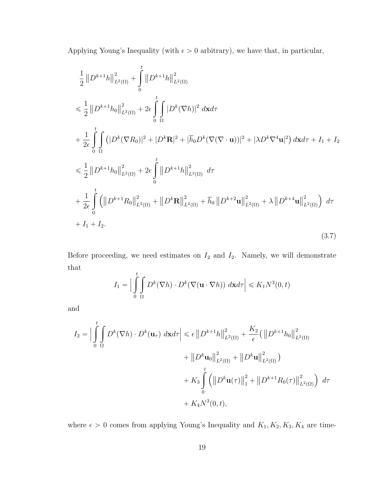Applying Young's Inequality (with  $\epsilon > 0$  arbitrary), we have that, in particular,

$$
\frac{1}{2} ||D^{k+1}h||_{L^{2}(\Omega)}^{2} + \int_{0}^{t} ||D^{k+1}h||_{L^{2}(\Omega)}^{2}
$$
\n
$$
\leq \frac{1}{2} ||D^{k+1}h_{0}||_{L^{2}(\Omega)}^{2} + 2\epsilon \int_{0}^{t} \int_{\Omega} |D^{k}(\nabla h)|^{2} d\mathbf{x}d\tau
$$
\n
$$
+ \frac{1}{2\epsilon} \int_{0}^{t} \int_{\Omega} (|D^{k}(\nabla R_{0})|^{2} + |D^{k}\mathbf{R}|^{2} + |\overline{h}_{0}D^{k}(\nabla(\nabla \cdot \mathbf{u}))|^{2} + |\lambda D^{k}\nabla^{4}\mathbf{u}|^{2}) d\mathbf{x}d\tau + I_{1} + I_{2}
$$
\n
$$
\leq \frac{1}{2} ||D^{k+1}h_{0}||_{L^{2}(\Omega)}^{2} + 2\epsilon \int_{0}^{t} ||D^{k+1}h||_{L^{2}(\Omega)}^{2} d\tau
$$
\n
$$
+ \frac{1}{2\epsilon} \int_{0}^{t} (||D^{k+1}R_{0}||_{L^{2}(\Omega)}^{2} + ||D^{k}\mathbf{R}||_{L^{2}(\Omega)}^{2} + \overline{h}_{0} ||D^{k+2}\mathbf{u}||_{L^{2}(\Omega)}^{2} + \lambda ||D^{k+4}\mathbf{u}||_{L^{2}(\Omega)}^{2}) d\tau
$$
\n
$$
+ I_{1} + I_{2}.
$$
\n(3.7)

Before proceeding, we need estimates on  $I_2$  and  $I_2$ . Namely, we will demonstrate that

<span id="page-24-0"></span>
$$
I_1 = \Big|\int\limits_0^t \int\limits_\Omega D^k(\nabla h) \cdot D^k(\nabla (\mathbf{u} \cdot \nabla h)) \, d\mathbf{x} d\tau\Big| \leqslant K_1 N^3(0, t)
$$

and

$$
I_{2} = \Big|\int_{0}^{t} \int_{\Omega} D^{k}(\nabla h) \cdot D^{k}(\mathbf{u}_{\tau}) d\mathbf{x} d\tau \Big| \leq \epsilon \left\| D^{k+1} h \right\|_{L^{2}(\Omega)}^{2} + \frac{K_{2}}{\epsilon} \left( \left\| D^{k+1} h_{0} \right\|_{L^{2}(\Omega)}^{2} + \left\| D^{k} \mathbf{u}_{0} \right\|_{L^{2}(\Omega)}^{2} + \left\| D^{k} \mathbf{u}_{0} \right\|_{L^{2}(\Omega)}^{2} \right) + K_{3} \int_{0}^{t} \left( \left\| D^{k} \mathbf{u}(\tau) \right\|_{1}^{2} + \left\| D^{k+1} R_{0}(\tau) \right\|_{L^{2}(\Omega)}^{2} \right) d\tau + K_{4} N^{3}(0, t),
$$

where  $\epsilon > 0$  comes from applying Young's Inequality and  $K_1, K_2, K_3, K_4$  are time-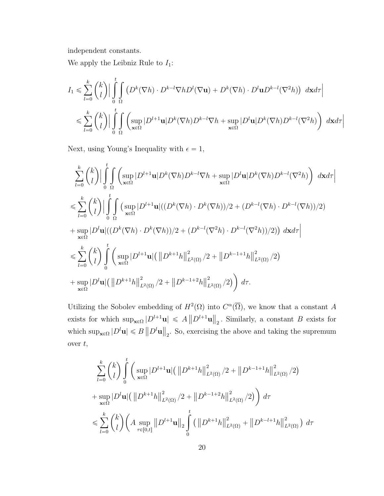independent constants.

We apply the Leibniz Rule to  $I_1$ :

$$
I_1 \leq \sum_{l=0}^k {k \choose l} \Big| \int_0^t \int_{\Omega} \left( D^k(\nabla h) \cdot D^{k-l} \nabla h D^l(\nabla \mathbf{u}) + D^k(\nabla h) \cdot D^l \mathbf{u} D^{k-l}(\nabla^2 h) \right) d\mathbf{x} d\tau \Big|
$$
  

$$
\leq \sum_{l=0}^k {k \choose l} \Big| \int_0^t \int_{\mathbf{x} \in \Omega} \left( \sup_{\mathbf{x} \in \Omega} |D^{l+1} \mathbf{u}| D^k(\nabla h) D^{k-l} \nabla h + \sup_{\mathbf{x} \in \Omega} |D^l \mathbf{u}| D^k(\nabla h) D^{k-l}(\nabla^2 h) \right) d\mathbf{x} d\tau \Big|
$$

Next, using Young's Inequality with  $\epsilon = 1$ ,

$$
\sum_{l=0}^{k} {k \choose l} \Big| \int_{0}^{t} \int_{\Omega} \left( \sup_{\mathbf{x}\in\Omega} |D^{l+1}\mathbf{u}|D^{k}(\nabla h)D^{k-l}\nabla h + \sup_{\mathbf{x}\in\Omega} |D^{l}\mathbf{u}|D^{k}(\nabla h)D^{k-l}(\nabla^{2}h) \right) d\mathbf{x} d\tau \Big|
$$
  
\n
$$
\leqslant \sum_{l=0}^{k} {k \choose l} \Big| \int_{0}^{t} \int_{\Omega} \left( \sup_{\mathbf{x}\in\Omega} |D^{l+1}\mathbf{u}|((D^{k}(\nabla h) \cdot D^{k}(\nabla h))/2 + (D^{k-l}(\nabla h) \cdot D^{k-l}(\nabla h))/2 \right)
$$
  
\n
$$
+ \sup_{\mathbf{x}\in\Omega} |D^{l}\mathbf{u}|((D^{k}(\nabla h) \cdot D^{k}(\nabla h))/2 + (D^{k-l}(\nabla^{2}h) \cdot D^{k-l}(\nabla^{2}h))/2) \right) d\mathbf{x} d\tau \Big|
$$
  
\n
$$
\leqslant \sum_{l=0}^{k} {k \choose l} \int_{0}^{t} \left( \sup_{\mathbf{x}\in\Omega} |D^{l+1}\mathbf{u}|(\|D^{k+1}h\|_{L^{2}(\Omega)}^{2}/2 + \|D^{k-1+1}h\|_{L^{2}(\Omega)}^{2}/2 \right)
$$
  
\n
$$
+ \sup_{\mathbf{x}\in\Omega} |D^{l}\mathbf{u}|(\|D^{k+1}h\|_{L^{2}(\Omega)}^{2}/2 + \|D^{k-1+2}h\|_{L^{2}(\Omega)}^{2}/2) \right) d\tau.
$$

Utilizing the Sobolev embedding of  $H^2(\Omega)$  into  $C^{\alpha}(\overline{\Omega})$ , we know that a constant A exists for which  $\sup_{\mathbf{x}\in\Omega} |D^{l+1}\mathbf{u}| \leqslant A ||D^{l+1}\mathbf{u}||_2$ . Similarly, a constant B exists for which  $\sup_{\mathbf{x}\in\Omega} |D^l \mathbf{u}| \leq B ||D^l \mathbf{u}||_2$ . So, exercising the above and taking the supremum over  $t$ ,

$$
\sum_{l=0}^{k} \binom{k}{l} \int_{0}^{t} \left( \sup_{\mathbf{x}\in\Omega} |D^{l+1}\mathbf{u}| \left( \left\| D^{k+1}h \right\|_{L^{2}(\Omega)}^{2} / 2 + \left\| D^{k-1+1}h \right\|_{L^{2}(\Omega)}^{2} / 2 \right) \right)
$$
  
+ 
$$
\sup_{\mathbf{x}\in\Omega} |D^{l}\mathbf{u}| \left( \left\| D^{k+1}h \right\|_{L^{2}(\Omega)}^{2} / 2 + \left\| D^{k-1+2}h \right\|_{L^{2}(\Omega)}^{2} / 2 \right) \right) d\tau
$$
  

$$
\leqslant \sum_{l=0}^{k} \binom{k}{l} \left( A \sup_{\tau\in[0,t]} \left\| D^{l+1}\mathbf{u} \right\|_{2} \int_{0}^{t} \left( \left\| D^{k+1}h \right\|_{L^{2}(\Omega)}^{2} + \left\| D^{k-l+1}h \right\|_{L^{2}(\Omega)}^{2} \right) d\tau
$$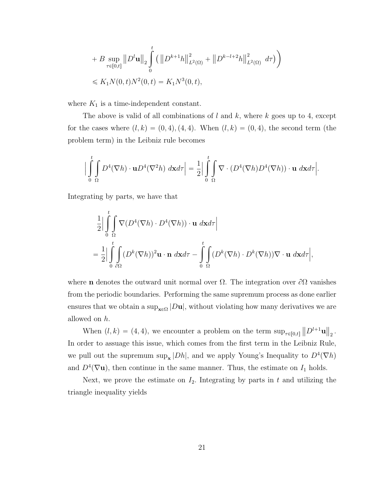+ B 
$$
\sup_{\tau \in [0,t]} \|D^l \mathbf{u}\|_2 \int_0^t (||D^{k+1}h||^2_{L^2(\Omega)} + ||D^{k-l+2}h||^2_{L^2(\Omega)} d\tau) \Big)
$$
  
\n $\le K_1 N(0,t) N^2(0,t) = K_1 N^3(0,t),$ 

where  $K_1$  is a time-independent constant.

The above is valid of all combinations of  $l$  and  $k$ , where  $k$  goes up to 4, except for the cases where  $(l, k) = (0, 4), (4, 4)$ . When  $(l, k) = (0, 4)$ , the second term (the problem term) in the Leibniz rule becomes

$$
\Big|\int_{0}^{t} \int_{\Omega} D^{4}(\nabla h) \cdot \mathbf{u} D^{4}(\nabla^{2} h) \, d\mathbf{x} d\tau\Big| = \frac{1}{2} \Big|\int_{0}^{t} \int_{\Omega} \nabla \cdot (D^{4}(\nabla h) D^{4}(\nabla h)) \cdot \mathbf{u} \, d\mathbf{x} d\tau\Big|.
$$

Integrating by parts, we have that

$$
\frac{1}{2} \Big| \int_{0}^{t} \int_{\Omega} \nabla (D^{4}(\nabla h) \cdot D^{4}(\nabla h)) \cdot \mathbf{u} \, d\mathbf{x} d\tau \Big|
$$
  
=\frac{1}{2} \Big| \int\_{0}^{t} \int\_{\partial \Omega} (D^{k}(\nabla h))^{2} \mathbf{u} \cdot \mathbf{n} \, d\mathbf{x} d\tau - \int\_{0}^{t} \int\_{\Omega} (D^{k}(\nabla h) \cdot D^{k}(\nabla h)) \nabla \cdot \mathbf{u} \, d\mathbf{x} d\tau \Big|,

where **n** denotes the outward unit normal over  $\Omega$ . The integration over  $\partial\Omega$  vanishes from the periodic boundaries. Performing the same supremum process as done earlier ensures that we obtain a sup $_{\mathbf{x} \in \Omega} |D\mathbf{u}|$ , without violating how many derivatives we are allowed on h.

When  $(l, k) = (4, 4)$ , we encounter a problem on the term  $\sup_{\tau \in [0,t]} ||D^{l+1} \mathbf{u}||_2$ . In order to assuage this issue, which comes from the first term in the Leibniz Rule, we pull out the supremum sup<sub>x</sub>  $|Dh|$ , and we apply Young's Inequality to  $D^4(\nabla h)$ and  $D^4(\nabla \mathbf{u})$ , then continue in the same manner. Thus, the estimate on  $I_1$  holds.

Next, we prove the estimate on  $I_2$ . Integrating by parts in t and utilizing the triangle inequality yields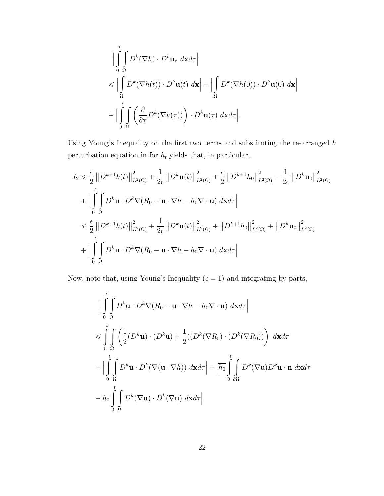$$
\begin{aligned}\n&\Big|\int_{0}^{t} \int_{\Omega} D^{k}(\nabla h) \cdot D^{k} \mathbf{u}_{\tau} d\mathbf{x} d\tau\Big| \\
&\leqslant \Big|\int_{\Omega} D^{k}(\nabla h(t)) \cdot D^{k} \mathbf{u}(t) d\mathbf{x}\Big| + \Big|\int_{\Omega} D^{k}(\nabla h(0)) \cdot D^{k} \mathbf{u}(0) d\mathbf{x}\Big| \\
&+ \Big|\int_{0}^{t} \int_{\Omega} \left(\frac{\partial}{\partial \tau} D^{k}(\nabla h(\tau))\right) \cdot D^{k} \mathbf{u}(\tau) d\mathbf{x} d\tau\Big|\n\end{aligned}
$$

Using Young's Inequality on the first two terms and substituting the re-arranged  $h$ perturbation equation in for  $h_t$  yields that, in particular,

$$
I_{2} \leq \frac{\epsilon}{2} \left\| D^{k+1} h(t) \right\|_{L^{2}(\Omega)}^{2} + \frac{1}{2\epsilon} \left\| D^{k} \mathbf{u}(t) \right\|_{L^{2}(\Omega)}^{2} + \frac{\epsilon}{2} \left\| D^{k+1} h_{0} \right\|_{L^{2}(\Omega)}^{2} + \frac{1}{2\epsilon} \left\| D^{k} \mathbf{u}_{0} \right\|_{L^{2}(\Omega)}^{2}
$$
  
+ 
$$
\left| \int_{0}^{t} \int_{\Omega} D^{k} \mathbf{u} \cdot D^{k} \nabla (R_{0} - \mathbf{u} \cdot \nabla h - \overline{h_{0}} \nabla \cdot \mathbf{u}) \, d\mathbf{x} d\tau \right|
$$
  

$$
\leq \frac{\epsilon}{2} \left\| D^{k+1} h(t) \right\|_{L^{2}(\Omega)}^{2} + \frac{1}{2\epsilon} \left\| D^{k} \mathbf{u}(t) \right\|_{L^{2}(\Omega)}^{2} + \left\| D^{k+1} h_{0} \right\|_{L^{2}(\Omega)}^{2} + \left\| D^{k} \mathbf{u}_{0} \right\|_{L^{2}(\Omega)}^{2}
$$
  
+ 
$$
\left| \int_{0}^{t} \int_{\Omega} D^{k} \mathbf{u} \cdot D^{k} \nabla (R_{0} - \mathbf{u} \cdot \nabla h - \overline{h_{0}} \nabla \cdot \mathbf{u}) \, d\mathbf{x} d\tau \right|
$$

Now, note that, using Young's Inequality (  $\epsilon=1)$  and integrating by parts,

$$
\begin{split}\n&\Big|\int_{0}^{t} \int_{\Omega} D^{k} \mathbf{u} \cdot D^{k} \nabla (R_{0} - \mathbf{u} \cdot \nabla h - \overline{h_{0}} \nabla \cdot \mathbf{u}) \, d\mathbf{x} d\tau\Big| \\
&\leqslant \int_{0}^{t} \int_{\Omega} \left(\frac{1}{2} (D^{k} \mathbf{u}) \cdot (D^{k} \mathbf{u}) + \frac{1}{2} ((D^{k} (\nabla R_{0}) \cdot (D^{k} (\nabla R_{0}))) \right) \, d\mathbf{x} d\tau \\
&+ \Big|\int_{0}^{t} \int_{\Omega} D^{k} \mathbf{u} \cdot D^{k} (\nabla (\mathbf{u} \cdot \nabla h)) \, d\mathbf{x} d\tau\Big| + \Big|\overline{h_{0}} \int_{0}^{t} \int_{\partial \Omega} D^{k} (\nabla \mathbf{u}) D^{k} \mathbf{u} \cdot \mathbf{n} \, d\mathbf{x} d\tau \\
&- \overline{h_{0}} \int_{0}^{t} \int_{\Omega} D^{k} (\nabla \mathbf{u}) \cdot D^{k} (\nabla \mathbf{u}) \, d\mathbf{x} d\tau\Big|\n\end{split}
$$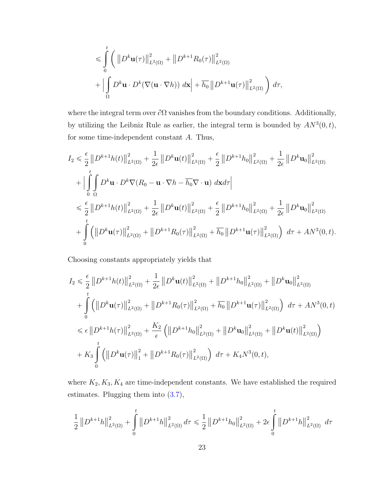$$
\leqslant \int_{0}^{t} \left( \left\| D^{k} \mathbf{u}(\tau) \right\|_{L^{2}(\Omega)}^{2} + \left\| D^{k+1} R_{0}(\tau) \right\|_{L^{2}(\Omega)}^{2} + \left| \int_{\Omega} D^{k} \mathbf{u} \cdot D^{k} (\nabla (\mathbf{u} \cdot \nabla h)) \, d\mathbf{x} \right| + \overline{h_{0}} \left\| D^{k+1} \mathbf{u}(\tau) \right\|_{L^{2}(\Omega)}^{2} \right) d\tau,
$$

where the integral term over  $\partial\Omega$  vanishes from the boundary conditions. Additionally, by utilizing the Leibniz Rule as earlier, the integral term is bounded by  $AN^3(0,t)$ , for some time-independent constant A. Thus,

$$
I_{2} \leq \frac{\epsilon}{2} \left\| D^{k+1} h(t) \right\|_{L^{2}(\Omega)}^{2} + \frac{1}{2\epsilon} \left\| D^{k} \mathbf{u}(t) \right\|_{L^{2}(\Omega)}^{2} + \frac{\epsilon}{2} \left\| D^{k+1} h_{0} \right\|_{L^{2}(\Omega)}^{2} + \frac{1}{2\epsilon} \left\| D^{k} \mathbf{u}_{0} \right\|_{L^{2}(\Omega)}^{2}
$$
  
+ 
$$
\left| \int_{0}^{t} \int_{\Omega} D^{k} \mathbf{u} \cdot D^{k} \nabla (R_{0} - \mathbf{u} \cdot \nabla h - \overline{h_{0}} \nabla \cdot \mathbf{u}) \, d\mathbf{x} d\tau \right|
$$
  

$$
\leq \frac{\epsilon}{2} \left\| D^{k+1} h(t) \right\|_{L^{2}(\Omega)}^{2} + \frac{1}{2\epsilon} \left\| D^{k} \mathbf{u}(t) \right\|_{L^{2}(\Omega)}^{2} + \frac{\epsilon}{2} \left\| D^{k+1} h_{0} \right\|_{L^{2}(\Omega)}^{2} + \frac{1}{2\epsilon} \left\| D^{k} \mathbf{u}_{0} \right\|_{L^{2}(\Omega)}^{2}
$$
  
+ 
$$
\int_{0}^{t} \left( \left\| D^{k} \mathbf{u}(\tau) \right\|_{L^{2}(\Omega)}^{2} + \left\| D^{k+1} R_{0}(\tau) \right\|_{L^{2}(\Omega)}^{2} + \overline{h_{0}} \left\| D^{k+1} \mathbf{u}(\tau) \right\|_{L^{2}(\Omega)}^{2} \right) d\tau + A N^{3} (0, t).
$$

Choosing constants appropriately yields that

$$
I_{2} \leq \frac{\epsilon}{2} \left\| D^{k+1} h(t) \right\|_{L^{2}(\Omega)}^{2} + \frac{1}{2\epsilon} \left\| D^{k} \mathbf{u}(t) \right\|_{L^{2}(\Omega)}^{2} + \left\| D^{k+1} h_{0} \right\|_{L^{2}(\Omega)}^{2} + \left\| D^{k} \mathbf{u}_{0} \right\|_{L^{2}(\Omega)}^{2}
$$
  
+ 
$$
\int_{0}^{t} \left( \left\| D^{k} \mathbf{u}(\tau) \right\|_{L^{2}(\Omega)}^{2} + \left\| D^{k+1} R_{0}(\tau) \right\|_{L^{2}(\Omega)}^{2} + \overline{h_{0}} \left\| D^{k+1} \mathbf{u}(\tau) \right\|_{L^{2}(\Omega)}^{2} \right) d\tau + A N^{3}(0, t)
$$
  

$$
\leq \epsilon \left\| D^{k+1} h(\tau) \right\|_{L^{2}(\Omega)}^{2} + \frac{K_{2}}{\epsilon} \left( \left\| D^{k+1} h_{0} \right\|_{L^{2}(\Omega)}^{2} + \left\| D^{k} \mathbf{u}_{0} \right\|_{L^{2}(\Omega)}^{2} + \left\| D^{k} \mathbf{u}(t) \right\|_{L^{2}(\Omega)}^{2} \right)
$$
  
+ 
$$
K_{3} \int_{0}^{t} \left( \left\| D^{k} \mathbf{u}(\tau) \right\|_{1}^{2} + \left\| D^{k+1} R_{0}(\tau) \right\|_{L^{2}(\Omega)}^{2} \right) d\tau + K_{4} N^{3}(0, t),
$$

where  $K_2, K_3, K_4$  are time-independent constants. We have established the required estimates. Plugging them into [\(3.7\)](#page-24-0),

$$
\frac{1}{2} \left\| D^{k+1} h \right\|_{L^2(\Omega)}^2 + \int\limits_0^t \left\| D^{k+1} h \right\|_{L^2(\Omega)}^2 d\tau \leq \frac{1}{2} \left\| D^{k+1} h_0 \right\|_{L^2(\Omega)}^2 + 2 \epsilon \int\limits_0^t \left\| D^{k+1} h \right\|_{L^2(\Omega)}^2 d\tau
$$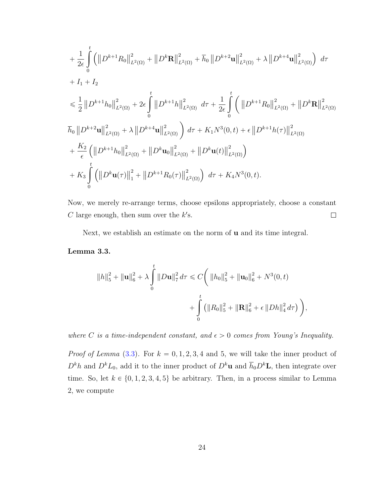$$
+ \frac{1}{2\epsilon} \int_{0}^{t} \left( \left\| D^{k+1} R_{0} \right\|_{L^{2}(\Omega)}^{2} + \left\| D^{k} \mathbf{R} \right\|_{L^{2}(\Omega)}^{2} + \overline{h}_{0} \left\| D^{k+2} \mathbf{u} \right\|_{L^{2}(\Omega)}^{2} + \lambda \left\| D^{k+4} \mathbf{u} \right\|_{L^{2}(\Omega)}^{2} \right) d\tau + I_{1} + I_{2} \n\leq \frac{1}{2} \left\| D^{k+1} h_{0} \right\|_{L^{2}(\Omega)}^{2} + 2\epsilon \int_{0}^{t} \left\| D^{k+1} h \right\|_{L^{2}(\Omega)}^{2} d\tau + \frac{1}{2\epsilon} \int_{0}^{t} \left( \left\| D^{k+1} R_{0} \right\|_{L^{2}(\Omega)}^{2} + \left\| D^{k} \mathbf{R} \right\|_{L^{2}(\Omega)}^{2} \right) d\tau + \overline{h}_{0} \left\| D^{k+2} \mathbf{u} \right\|_{L^{2}(\Omega)}^{2} + \lambda \left\| D^{k+4} \mathbf{u} \right\|_{L^{2}(\Omega)}^{2} \right) d\tau + K_{1} N^{3}(0, t) + \epsilon \left\| D^{k+1} h(\tau) \right\|_{L^{2}(\Omega)}^{2} + \frac{K_{2}}{\epsilon} \left( \left\| D^{k+1} h_{0} \right\|_{L^{2}(\Omega)}^{2} + \left\| D^{k} \mathbf{u}_{0} \right\|_{L^{2}(\Omega)}^{2} + \left\| D^{k} \mathbf{u}(t) \right\|_{L^{2}(\Omega)}^{2} \right) + K_{3} \int_{0}^{t} \left( \left\| D^{k} \mathbf{u}(\tau) \right\|_{1}^{2} + \left\| D^{k+1} R_{0}(\tau) \right\|_{L^{2}(\Omega)}^{2} \right) d\tau + K_{4} N^{3}(0, t).
$$

Now, we merely re-arrange terms, choose epsilons appropriately, choose a constant C large enough, then sum over the  $k$ 's.  $\Box$ 

Next, we establish an estimate on the norm of u and its time integral.

<span id="page-29-0"></span>Lemma 3.3.

$$
||h||_5^2 + ||\mathbf{u}||_6^2 + \lambda \int_0^t ||D\mathbf{u}||_7^2 d\tau \leq C \bigg(||h_0||_5^2 + ||\mathbf{u}_0||_6^2 + N^3(0, t) + \int_0^t (||R_0||_5^2 + ||\mathbf{R}||_6^2 + \epsilon ||Dh||_4^2 d\tau) \bigg),
$$

where C is a time-independent constant, and  $\epsilon > 0$  comes from Young's Inequality.

*Proof of Lemma* [\(3.3\)](#page-29-0). For  $k = 0, 1, 2, 3, 4$  and 5, we will take the inner product of  $D^k h$  and  $D^k L_0$ , add it to the inner product of  $D^k \mathbf{u}$  and  $\overline{h}_0 D^k \mathbf{L}$ , then integrate over time. So, let  $k \in \{0, 1, 2, 3, 4, 5\}$  be arbitrary. Then, in a process similar to Lemma 2, we compute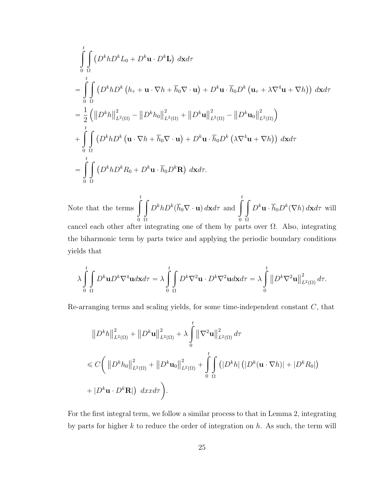$$
\int_{0}^{t} \int_{\Omega} \left( D^{k}hD^{k}L_{0} + D^{k}\mathbf{u} \cdot D^{k}\mathbf{L} \right) d\mathbf{x}d\tau
$$
\n=
$$
\int_{0}^{t} \int_{\Omega} \left( D^{k}hD^{k}\left( h_{\tau} + \mathbf{u} \cdot \nabla h + \overline{h}_{0} \nabla \cdot \mathbf{u} \right) + D^{k}\mathbf{u} \cdot \overline{h}_{0} D^{k}\left( \mathbf{u}_{\tau} + \lambda \nabla^{4} \mathbf{u} + \nabla h \right) \right) d\mathbf{x}d\tau
$$
\n=
$$
\frac{1}{2} \left( \left\| D^{k}h \right\|_{L^{2}(\Omega)}^{2} - \left\| D^{k}h_{0} \right\|_{L^{2}(\Omega)}^{2} + \left\| D^{k}\mathbf{u} \right\|_{L^{2}(\Omega)}^{2} - \left\| D^{k}\mathbf{u}_{0} \right\|_{L^{2}(\Omega)}^{2} \right)
$$
\n+
$$
\int_{0}^{t} \int_{\Omega} \left( D^{k}hD^{k}\left( \mathbf{u} \cdot \nabla h + \overline{h}_{0} \nabla \cdot \mathbf{u} \right) + D^{k}\mathbf{u} \cdot \overline{h}_{0} D^{k}\left( \lambda \nabla^{4}\mathbf{u} + \nabla h \right) \right) d\mathbf{x}d\tau
$$
\n=
$$
\int_{0}^{t} \int_{\Omega} \left( D^{k}hD^{k}R_{0} + D^{k}\mathbf{u} \cdot \overline{h}_{0}D^{k}\mathbf{R} \right) d\mathbf{x}d\tau.
$$

Note that the terms  $\int_{0}^{t}$ 0 Ω  $D^k h D^k (\overline{h}_0 \nabla \cdot \mathbf{u}) d\mathbf{x} d\tau$  and  $\int_a^t$ 0 Ω  $D^k {\bf u}\cdot \overline{h}_0 D^k(\nabla h)\, d{\bf x} d\tau$  will cancel each other after integrating one of them by parts over  $\Omega$ . Also, integrating the biharmonic term by parts twice and applying the periodic boundary conditions yields that

$$
\lambda \int\limits_0^t\int\limits_\Omega D^k {\bf u} D^k \nabla^4{\bf u} d{\bf x} d\tau=\lambda \int\limits_0^t\int\limits_\Omega D^k \nabla^2 {\bf u}\cdot D^k \nabla^2{\bf u} d{\bf x} d\tau=\lambda \int\limits_0^t\big\|D^k \nabla^2{\bf u}\big\|_{L^2(\Omega)}^2\,d\tau.
$$

Re-arranging terms and scaling yields, for some time-independent constant  $C$ , that

$$
||D^{k}h||_{L^{2}(\Omega)}^{2} + ||D^{k}\mathbf{u}||_{L^{2}(\Omega)}^{2} + \lambda \int_{0}^{t} ||\nabla^{2}\mathbf{u}||_{L^{2}(\Omega)}^{2} d\tau
$$
  
\n
$$
\leq C \bigg( ||D^{k}h_{0}||_{L^{2}(\Omega)}^{2} + ||D^{k}\mathbf{u}_{0}||_{L^{2}(\Omega)}^{2} + \int_{0}^{t} \int_{\Omega} (|D^{k}h| (|D^{k}(\mathbf{u} \cdot \nabla h)| + |D^{k}R_{0}|)
$$
  
\n
$$
+ |D^{k}\mathbf{u} \cdot D^{k}\mathbf{R}|) dxd\tau \bigg).
$$

For the first integral term, we follow a similar process to that in Lemma 2, integrating by parts for higher  $k$  to reduce the order of integration on  $h$ . As such, the term will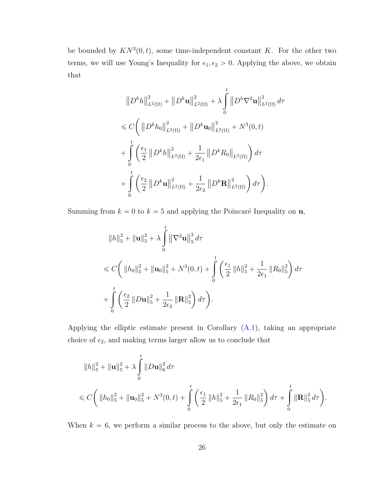be bounded by  $KN^3(0,t)$ , some time-independent constant K. For the other two terms, we will use Young's Inequality for  $\epsilon_1, \epsilon_2 > 0$ . Applying the above, we obtain that

$$
\|D^{k}h\|_{L^{2}(\Omega)}^{2} + \|D^{k}\mathbf{u}\|_{L^{2}(\Omega)}^{2} + \lambda \int_{0}^{t} \|D^{k}\nabla^{2}\mathbf{u}\|_{L^{2}(\Omega)}^{2} d\tau
$$
  
\n
$$
\leq C \bigg( \|D^{k}h_{0}\|_{L^{2}(\Omega)}^{2} + \|D^{k}\mathbf{u}_{0}\|_{L^{2}(\Omega)}^{2} + N^{3}(0,t) + \int_{0}^{t} \bigg( \frac{\epsilon_{1}}{2} \|D^{k}h\|_{L^{2}(\Omega)}^{2} + \frac{1}{2\epsilon_{1}} \|D^{k}R_{0}\|_{L^{2}(\Omega)} \bigg) d\tau
$$
  
\n
$$
+ \int_{0}^{t} \bigg( \frac{\epsilon_{2}}{2} \|D^{k}\mathbf{u}\|_{L^{2}(\Omega)}^{2} + \frac{1}{2\epsilon_{2}} \|D^{k}\mathbf{R}\|_{L^{2}(\Omega)}^{2} \bigg) d\tau \bigg).
$$

Summing from  $k = 0$  to  $k = 5$  and applying the Poincaré Inequality on **u**,

$$
||h||_{5}^{2} + ||\mathbf{u}||_{5}^{2} + \lambda \int_{0}^{t} ||\nabla^{2} \mathbf{u}||_{5}^{2} d\tau
$$
  
\n
$$
\leq C \bigg( ||h_{0}||_{5}^{2} + ||\mathbf{u}_{0}||_{5}^{2} + N^{3}(0, t) + \int_{0}^{t} \bigg( \frac{\epsilon_{1}}{2} ||h||_{5}^{2} + \frac{1}{2\epsilon_{1}} ||R_{0}||_{5}^{2} \bigg) d\tau
$$
  
\n
$$
+ \int_{0}^{t} \bigg( \frac{\epsilon_{2}}{2} ||D\mathbf{u}||_{5}^{2} + \frac{1}{2\epsilon_{2}} ||\mathbf{R}||_{5}^{2} \bigg) d\tau \bigg).
$$

Applying the elliptic estimate present in Corollary  $(A.1)$ , taking an appropriate choice of  $\epsilon_2$ , and making terms larger allow us to conclude that

$$
||h||_5^2 + ||\mathbf{u}||_5^2 + \lambda \int_0^t ||D\mathbf{u}||_6^2 d\tau
$$
  
\$\leq C \left( ||h\_0||\_5^2 + ||\mathbf{u}\_0||\_5^2 + N^3(0, t) + \int\_0^t \left( \frac{\epsilon\_1}{2} ||h||\_5^2 + \frac{1}{2\epsilon\_1} ||R\_0||\_5^2 \right) d\tau + \int\_0^t ||\mathbf{R}||\_5^2 d\tau \right).

When  $k = 6$ , we perform a similar process to the above, but only the estimate on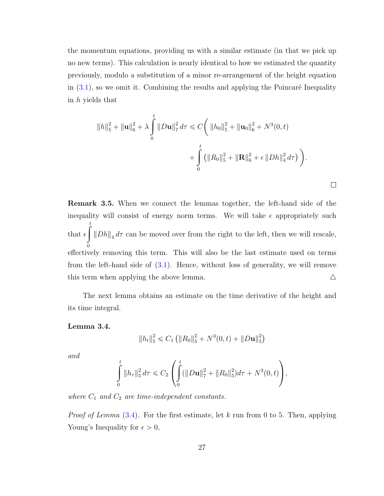the momentum equations, providing us with a similar estimate (in that we pick up no new terms). This calculation is nearly identical to how we estimated the quantity previously, modulo a substitution of a minor re-arrangement of the height equation in  $(3.1)$ , so we omit it. Combining the results and applying the Poincaré Inequality in h yields that

$$
||h||_5^2 + ||\mathbf{u}||_6^2 + \lambda \int_0^t ||D\mathbf{u}||_7^2 d\tau \leq C \bigg( ||h_0||_5^2 + ||\mathbf{u}_0||_6^2 + N^3(0, t) + \int_0^t (||R_0||_5^2 + ||\mathbf{R}||_6^2 + \epsilon ||Dh||_4^2 d\tau) \bigg).
$$

 $\Box$ 

Remark 3.5. When we connect the lemmas together, the left-hand side of the inequality will consist of energy norm terms. We will take  $\epsilon$  appropriately such that  $\epsilon \parallel \|Dh\|_4 d\tau$  can be moved over from the right to the left, then we will rescale, ż t  $\boldsymbol{0}$ effectively removing this term. This will also be the last estimate used on terms from the left-hand side of  $(3.1)$ . Hence, without loss of generality, we will remove this term when applying the above lemma.  $\Delta$ 

The next lemma obtains an estimate on the time derivative of the height and its time integral.

<span id="page-32-0"></span>Lemma 3.4.

$$
||h_t||_5^2 \leq C_1 (||R_0||_5^2 + N^3(0,t) + ||D\mathbf{u}||_5^2)
$$

and

$$
\int_{0}^{t} \|h_{\tau}\|_{5}^{2} d\tau \leq C_{2} \left( \int_{0}^{t} (\|D\mathbf{u}\|_{7}^{2} + \|R_{0}\|_{5}^{2}) d\tau + N^{3}(0, t) \right),
$$

where  $C_1$  and  $C_2$  are time-independent constants.

*Proof of Lemma*  $(3.4)$ . For the first estimate, let k run from 0 to 5. Then, applying Young's Inequality for  $\epsilon > 0$ ,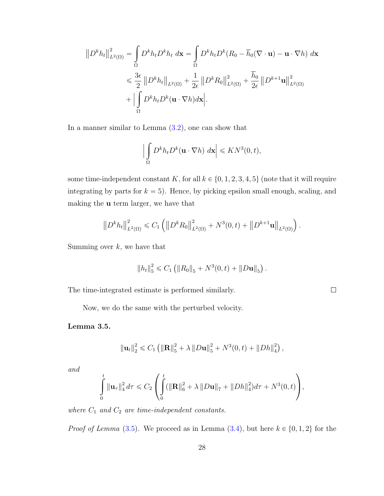$$
\|D^k h_t\|_{L^2(\Omega)}^2 = \int_{\Omega} D^k h_t D^k h_t \, d\mathbf{x} = \int_{\Omega} D^k h_t D^k (R_0 - \overline{h}_0 (\nabla \cdot \mathbf{u}) - \mathbf{u} \cdot \nabla h) \, d\mathbf{x}
$$
  
\$\leqslant \frac{3\epsilon}{2} \|D^k h\_t\|\_{L^2(\Omega)} + \frac{1}{2\epsilon} \|D^k R\_0\|\_{L^2(\Omega)}^2 + \frac{\overline{h}\_0}{2\epsilon} \|D^{k+1} \mathbf{u}\|\_{L^2(\Omega)}^2 + \left|\int\_{\Omega} D^k h\_t D^k (\mathbf{u} \cdot \nabla h) d\mathbf{x}\right|\$.

In a manner similar to Lemma [\(3.2\)](#page-22-0), one can show that

$$
\left|\int_{\Omega} D^k h_t D^k (\mathbf{u} \cdot \nabla h) \, d\mathbf{x}\right| \leqslant K N^3(0, t),
$$

some time-independent constant K, for all  $k \in \{0, 1, 2, 3, 4, 5\}$  (note that it will require integrating by parts for  $k = 5$ ). Hence, by picking epsilon small enough, scaling, and making the u term larger, we have that

$$
\left\|D^{k}h_{t}\right\|_{L^{2}(\Omega)}^{2} \leq C_{1}\left(\left\|D^{k}R_{0}\right\|_{L^{2}(\Omega)}^{2} + N^{3}(0,t) + \left\|D^{k+1}\mathbf{u}\right\|_{L^{2}(\Omega)}\right).
$$

Summing over  $k$ , we have that

$$
||h_t||_5^2 \leq C_1 (||R_0||_5 + N^3(0,t) + ||D\mathbf{u}||_5).
$$

The time-integrated estimate is performed similarly.

Now, we do the same with the perturbed velocity.

 $\Box$ 

#### <span id="page-33-0"></span>Lemma 3.5.

$$
\|\mathbf{u}_t\|_2^2 \leq C_1 \left( \|\mathbf{R}\|_5^2 + \lambda \|D\mathbf{u}\|_5^2 + N^3(0,t) + \|Dh\|_4^2 \right),
$$

and

$$
\int_{0}^{t} \|\mathbf{u}_{\tau}\|_{4}^{2} d\tau \leq C_{2} \left( \int_{0}^{t} (\|\mathbf{R}\|_{6}^{2} + \lambda \|\boldsymbol{D}\mathbf{u}\|_{7} + \|\boldsymbol{D}h\|_{4}^{2}) d\tau + N^{3}(0, t) \right),
$$

where  $C_1$  and  $C_2$  are time-independent constants.

*Proof of Lemma* [\(3.5\)](#page-33-0). We proceed as in Lemma [\(3.4\)](#page-32-0), but here  $k \in \{0, 1, 2\}$  for the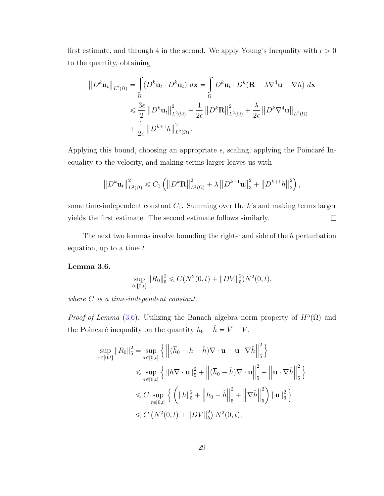first estimate, and through 4 in the second. We apply Young's Inequality with  $\epsilon > 0$ to the quantity, obtaining

$$
\|D^k \mathbf{u}_t\|_{L^2(\Omega)} = \int_{\Omega} (D^k \mathbf{u}_t \cdot D^k \mathbf{u}_t) \, d\mathbf{x} = \int_{\Omega} D^k \mathbf{u}_t \cdot D^k (\mathbf{R} - \lambda \nabla^4 \mathbf{u} - \nabla h) \, d\mathbf{x}
$$
  
\$\leqslant \frac{3\epsilon}{2} \|D^k \mathbf{u}\_t\|\_{L^2(\Omega)}^2 + \frac{1}{2\epsilon} \|D^k \mathbf{R}\|\_{L^2(\Omega)}^2 + \frac{\lambda}{2\epsilon} \|D^k \nabla^4 \mathbf{u}\|\_{L^2(\Omega)}\$  
\$+ \frac{1}{2\epsilon} \|D^{k+1} h\|\_{L^2(\Omega)}^2.

Applying this bound, choosing an appropriate  $\epsilon$ , scaling, applying the Poincaré Inequality to the velocity, and making terms larger leaves us with

$$
\left\| D^{k} \mathbf{u}_{t} \right\|_{L^{2}(\Omega)}^{2} \leqslant C_{1} \left( \left\| D^{k} \mathbf{R} \right\|_{L^{2}(\Omega)}^{2} + \lambda \left\| D^{k+1} \mathbf{u} \right\|_{3}^{2} + \left\| D^{k+1} h \right\|_{2}^{2} \right),
$$

some time-independent constant  $C_1$ . Summing over the k's and making terms larger yields the first estimate. The second estimate follows similarly.  $\Box$ 

The next two lemmas involve bounding the right-hand side of the  $h$  perturbation equation, up to a time  $t$ .

#### <span id="page-34-0"></span>Lemma 3.6.

$$
\sup_{t \in [0,t]} \|R_0\|_5^2 \leq C(N^2(0,t) + \|DV\|_5^2)N^2(0,t),
$$

where C is a time-independent constant.

*Proof of Lemma* [\(3.6\)](#page-34-0). Utilizing the Banach algebra norm property of  $H^5(\Omega)$  and the Poincaré inequality on the quantity  $\overline{h}_0 - \hat{h} = \overline{V} - V$ ,

$$
\sup_{\tau \in [0,t]} \|R_0\|_{5}^{2} = \sup_{\tau \in [0,t]} \left\{ \left\| (\overline{h}_0 - h - \hat{h}) \nabla \cdot \mathbf{u} - \mathbf{u} \cdot \nabla \hat{h} \right\|_{5}^{2} \right\}
$$
  
\n
$$
\leq \sup_{\tau \in [0,t]} \left\{ \left\| h \nabla \cdot \mathbf{u} \right\|_{5}^{2} + \left\| (\overline{h}_0 - \hat{h}) \nabla \cdot \mathbf{u} \right\|_{5}^{2} + \left\| \mathbf{u} \cdot \nabla \hat{h} \right\|_{5}^{2} \right\}
$$
  
\n
$$
\leq C \sup_{\tau \in [0,t]} \left\{ \left( \|h\|_{5}^{2} + \left\| \overline{h}_0 - \hat{h} \right\|_{5}^{2} + \left\| \nabla \hat{h} \right\|_{5}^{2} \right) \| \mathbf{u} \|_{6}^{2} \right\}
$$
  
\n
$$
\leq C \left( N^2(0,t) + \|DV\|_{5}^{2} \right) N^2(0,t),
$$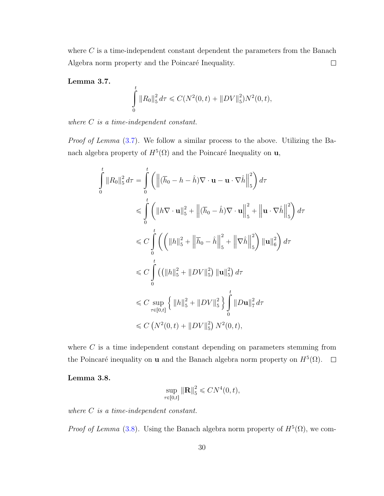where  $C$  is a time-independent constant dependent the parameters from the Banach Algebra norm property and the Poincaré Inequality.  $\Box$ 

#### <span id="page-35-0"></span>Lemma 3.7.

$$
\int_{0}^{t} \|R_0\|_5^2 d\tau \leq C(N^2(0,t) + \|DV\|_5^2)N^2(0,t),
$$

where  $C$  is a time-independent constant.

Proof of Lemma [\(3.7\)](#page-35-0). We follow a similar process to the above. Utilizing the Banach algebra property of  $H^5(\Omega)$  and the Poincaré Inequality on **u**,

$$
\int_{0}^{t} \|R_{0}\|_{5}^{2} d\tau = \int_{0}^{t} \left( \left\|(\overline{h}_{0} - h - \hat{h})\nabla \cdot \mathbf{u} - \mathbf{u} \cdot \nabla \hat{h} \right\|_{5}^{2} \right) d\tau
$$
\n
$$
\leq \int_{0}^{t} \left( \|h\nabla \cdot \mathbf{u}\|_{5}^{2} + \left\|(\overline{h}_{0} - \hat{h})\nabla \cdot \mathbf{u} \right\|_{5}^{2} + \left\| \mathbf{u} \cdot \nabla \hat{h} \right\|_{5}^{2} \right) d\tau
$$
\n
$$
\leq C \int_{0}^{t} \left( \left( \|h\|_{5}^{2} + \left\| \overline{h}_{0} - \hat{h} \right\|_{5}^{2} + \left\| \nabla \hat{h} \right\|_{5}^{2} \right) \|\mathbf{u}\|_{6}^{2} \right) d\tau
$$
\n
$$
\leq C \int_{0}^{t} \left( (\|h\|_{5}^{2} + \|DV\|_{5}^{2}) \|\mathbf{u}\|_{5}^{2} \right) d\tau
$$
\n
$$
\leq C \sup_{\tau \in [0,t]} \left\{ \|h\|_{5}^{2} + \|DV\|_{5}^{2} \right\} \int_{0}^{t} \|Du\|_{7}^{2} d\tau
$$
\n
$$
\leq C \left( N^{2}(0,t) + \|DV\|_{5}^{2} \right) N^{2}(0,t),
$$

where  $C$  is a time independent constant depending on parameters stemming from the Poincaré inequality on **u** and the Banach algebra norm property on  $H^5(\Omega)$ .

<span id="page-35-1"></span>Lemma 3.8.

$$
\sup_{\tau \in [0,t]} \|\mathbf{R}\|_5^2 \leqslant C N^4(0,t),
$$

where C is a time-independent constant.

*Proof of Lemma* [\(3.8\)](#page-35-1). Using the Banach algebra norm property of  $H^5(\Omega)$ , we com-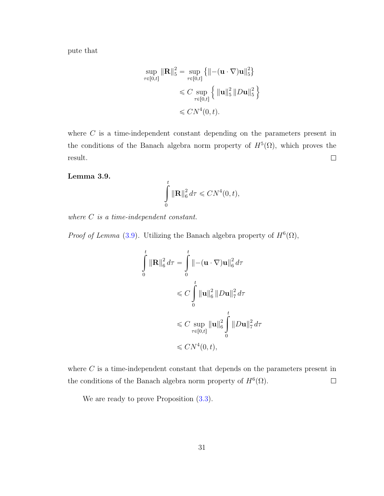pute that

$$
\sup_{\tau \in [0,t]} \|\mathbf{R}\|_{5}^{2} = \sup_{\tau \in [0,t]} \{ \|-(\mathbf{u} \cdot \nabla)\mathbf{u}\|_{5}^{2} \}
$$
  
\$\leq C \sup\_{\tau \in [0,t]} \{ \| \mathbf{u} \|\_{5}^{2} \| D\mathbf{u} \|\_{5}^{2} \}  
\$\leq C N^{4}(0,t).

where  $C$  is a time-independent constant depending on the parameters present in the conditions of the Banach algebra norm property of  $H^5(\Omega)$ , which proves the result.  $\Box$ 

<span id="page-36-0"></span>Lemma 3.9.

$$
\int\limits_0^t \|\mathbf{R}\|_6^2\,d\tau \leqslant CN^4(0,t),
$$

where C is a time-independent constant.

*Proof of Lemma* [\(3.9\)](#page-36-0). Utilizing the Banach algebra property of  $H^6(\Omega)$ ,

$$
\int_{0}^{t} \|\mathbf{R}\|_{6}^{2} d\tau = \int_{0}^{t} \|-(\mathbf{u} \cdot \nabla)\mathbf{u}\|_{6}^{2} d\tau
$$
\n
$$
\leq C \int_{0}^{t} \|\mathbf{u}\|_{6}^{2} \|D\mathbf{u}\|_{7}^{2} d\tau
$$
\n
$$
\leq C \sup_{\tau \in [0,t]} \|\mathbf{u}\|_{6}^{2} \int_{0}^{t} \|D\mathbf{u}\|_{7}^{2} d\tau
$$
\n
$$
\leq C N^{4}(0,t),
$$

where  $C$  is a time-independent constant that depends on the parameters present in the conditions of the Banach algebra norm property of  $H^6(\Omega)$ .  $\Box$ 

We are ready to prove Proposition  $(3.3)$ .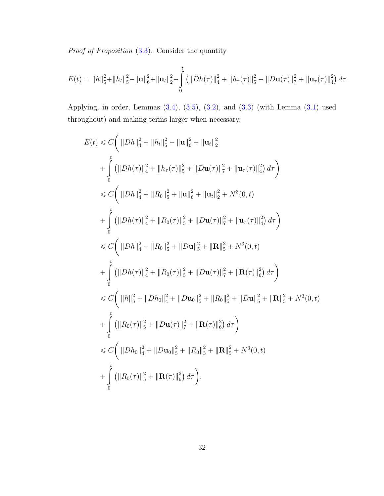Proof of Proposition [\(3.3\)](#page-20-0). Consider the quantity

$$
E(t) = ||h||_5^2 + ||h_t||_5^2 + ||\mathbf{u}||_6^2 + ||\mathbf{u}_t||_2^2 + \int_0^t (||Dh(\tau)||_4^2 + ||h_\tau(\tau)||_5^2 + ||D\mathbf{u}(\tau)||_7^2 + ||\mathbf{u}_\tau(\tau)||_4^2) d\tau.
$$

Applying, in order, Lemmas [\(3.4\)](#page-32-0), [\(3.5\)](#page-33-0), [\(3.2\)](#page-22-0), and [\(3.3\)](#page-29-0) (with Lemma [\(3.1\)](#page-21-0) used throughout) and making terms larger when necessary,

$$
E(t) \leq C \Big( ||Dh||_4^2 + ||h_t||_5^2 + ||\mathbf{u}||_6^2 + ||\mathbf{u}_t||_2^2
$$
  
+ 
$$
\int_0^t (||Dh(\tau)||_4^2 + ||h_\tau(\tau)||_5^2 + ||D\mathbf{u}(\tau)||_7^2 + ||\mathbf{u}_\tau(\tau)||_4^2) d\tau \Big)
$$
  

$$
\leq C \Big( ||Dh||_4^2 + ||R_0||_5^2 + ||\mathbf{u}||_6^2 + ||\mathbf{u}_t||_2^2 + N^3(0, t)
$$
  
+ 
$$
\int_0^t (||Dh(\tau)||_4^2 + ||R_0(\tau)||_5^2 + ||D\mathbf{u}(\tau)||_7^2 + ||\mathbf{u}_\tau(\tau)||_4^2) d\tau \Big)
$$
  

$$
\leq C \Big( ||Dh||_4^2 + ||R_0||_5^2 + ||D\mathbf{u}||_5^2 + ||\mathbf{R}||_5^2 + N^3(0, t)
$$
  
+ 
$$
\int_0^t (||Dh(\tau)||_4^2 + ||R_0(\tau)||_5^2 + ||D\mathbf{u}(\tau)||_7^2 + ||\mathbf{R}(\tau)||_6^2) d\tau \Big)
$$
  

$$
\leq C \Big( ||h||_5^2 + ||Dh_0||_4^2 + ||D\mathbf{u}_0||_5^2 + ||R_0||_5^2 + ||D\mathbf{u}||_5^2 + ||\mathbf{R}||_5^2 + N^3(0, t)
$$
  
+ 
$$
\int_0^t (||R_0(\tau)||_5^2 + ||D\mathbf{u}(\tau)||_7^2 + ||\mathbf{R}(\tau)||_6^2) d\tau \Big)
$$
  

$$
\leq C \Big( ||Dh_0||_4^2 + ||D\mathbf{u}_0||_5^2 + ||R_0||_5^2 + ||\mathbf{R}||_5^2 + N^3(0, t)
$$
  
+ 
$$
\int_0^t (||R_0(\tau)||_4^2 + ||D\mathbf{u}_0||_5^2 + ||R_0||_5^2 + ||\mathbf{R}||_5^2 + N^3(0, t)
$$
  
+ 
$$
\int_0^t (||R_0(\tau)||_4^2 + ||
$$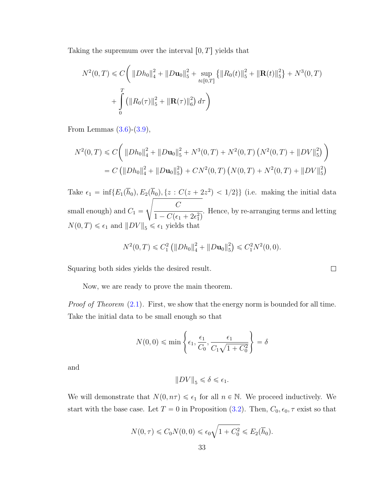Taking the supremum over the interval  $[0, T]$  yields that

$$
N^{2}(0,T) \leq C \bigg( \|Dh_{0}\|_{4}^{2} + \|D\mathbf{u}_{0}\|_{5}^{2} + \sup_{t \in [0,T]} \{ \|R_{0}(t)\|_{5}^{2} + \| \mathbf{R}(t) \|_{5}^{2} \} + N^{3}(0,T) + \int_{0}^{T} ( \|R_{0}(\tau)\|_{5}^{2} + \| \mathbf{R}(\tau) \|_{6}^{2} ) d\tau \bigg)
$$

From Lemmas  $(3.6)-(3.9)$  $(3.6)-(3.9)$  $(3.6)-(3.9)$ ,

$$
N^2(0,T) \leq C \bigg( \|Dh_0\|_4^2 + \|D\mathbf{u}_0\|_5^2 + N^3(0,T) + N^2(0,T) \left(N^2(0,T) + \|DV\|_5^2\right) \bigg)
$$
  
= C \bigg( \|Dh\_0\|\_4^2 + \|D\mathbf{u}\_0\|\_5^2 \bigg) + CN^2(0,T) \left(N(0,T) + N^2(0,T) + \|DV\|\_5^2\right)

Take  $\epsilon_1 = \inf \{ E_1(\bar{h}_0), E_2(\bar{h}_0), \{z : C(z + 2z^2) < 1/2\} \}$  (i.e. making the initial data small enough) and  $C_1 =$  $\frac{1}{2}$  $\mathcal{C}_{0}^{(n)}$  $1 - C(\epsilon_1 + 2\epsilon_1^2)$ . Hence, by re-arranging terms and letting  $N(0, T) \le \epsilon_1$  and  $||DV||_5 \le \epsilon_1$  yields that

$$
N^2(0,T) \leq C_1^2 \left( \| Dh_0 \|_{4}^2 + \| Du_0 \|_{5}^2 \right) \leq C_1^2 N^2(0,0).
$$

Squaring both sides yields the desired result.

Now, we are ready to prove the main theorem.

Proof of Theorem  $(2.1)$ . First, we show that the energy norm is bounded for all time. Take the initial data to be small enough so that

$$
N(0,0) \leqslant \min\left\{\epsilon_1, \frac{\epsilon_1}{C_0}, \frac{\epsilon_1}{C_1\sqrt{1+C_0^2}}\right\} = \delta
$$

and

$$
||DV||_5 \le \delta \le \epsilon_1.
$$

We will demonstrate that  $N(0, n\tau) \leq \epsilon_1$  for all  $n \in \mathbb{N}$ . We proceed inductively. We start with the base case. Let  $T = 0$  in Proposition [\(3.2\)](#page-19-0). Then,  $C_0$ ,  $\epsilon_0$ ,  $\tau$  exist so that

$$
N(0, \tau) \le C_0 N(0, 0) \le \epsilon_0 \sqrt{1 + C_0^2} \le E_2(\overline{h}_0).
$$

 $\Box$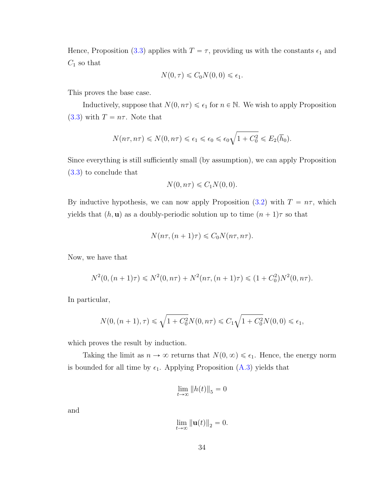Hence, Proposition [\(3.3\)](#page-20-0) applies with  $T = \tau$ , providing us with the constants  $\epsilon_1$  and  $C_1$  so that

$$
N(0, \tau) \leq C_0 N(0, 0) \leq \epsilon_1.
$$

This proves the base case.

Inductively, suppose that  $N(0, n\tau) \leq \epsilon_1$  for  $n \in \mathbb{N}$ . We wish to apply Proposition [\(3.3\)](#page-20-0) with  $T = n\tau$ . Note that

$$
N(n\tau, n\tau) \leq N(0, n\tau) \leq \epsilon_1 \leq \epsilon_0 \leq \epsilon_0 \sqrt{1 + C_0^2} \leq E_2(\overline{h}_0).
$$

Since everything is still sufficiently small (by assumption), we can apply Proposition [\(3.3\)](#page-20-0) to conclude that

$$
N(0, n\tau) \leqslant C_1 N(0, 0).
$$

By inductive hypothesis, we can now apply Proposition [\(3.2\)](#page-19-0) with  $T = n\tau$ , which yields that  $(h, u)$  as a doubly-periodic solution up to time  $(n + 1)\tau$  so that

$$
N(n\tau, (n+1)\tau) \leq C_0 N(n\tau, n\tau).
$$

Now, we have that

$$
N^2(0, (n+1)\tau) \le N^2(0, n\tau) + N^2(n\tau, (n+1)\tau) \le (1 + C_0^2)N^2(0, n\tau).
$$

In particular,

$$
N(0, (n+1), \tau) \le \sqrt{1 + C_0^2} N(0, n\tau) \le C_1 \sqrt{1 + C_0^2} N(0, 0) \le \epsilon_1,
$$

which proves the result by induction.

Taking the limit as  $n \to \infty$  returns that  $N(0, \infty) \leq \epsilon_1$ . Hence, the energy norm is bounded for all time by  $\epsilon_1$ . Applying Proposition [\(A.3\)](#page-47-0) yields that

$$
\lim_{t \to \infty} \|h(t)\|_5 = 0
$$

and

$$
\lim_{t \to \infty} \|\mathbf{u}(t)\|_2 = 0.
$$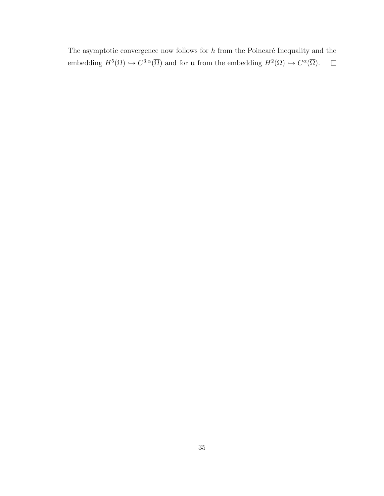The asymptotic convergence now follows for  $h$  from the Poincaré Inequality and the  $\Box$ embedding  $H^5(\Omega) \hookrightarrow C^{3,\alpha}(\overline{\Omega})$  and for **u** from the embedding  $H^2(\Omega) \hookrightarrow C^{\alpha}(\overline{\Omega})$ .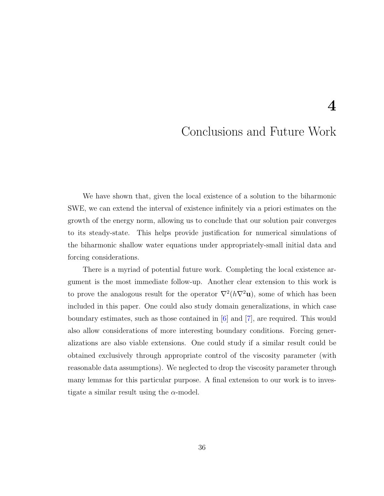### <span id="page-41-0"></span>Conclusions and Future Work

4

We have shown that, given the local existence of a solution to the biharmonic SWE, we can extend the interval of existence infinitely via a priori estimates on the growth of the energy norm, allowing us to conclude that our solution pair converges to its steady-state. This helps provide justification for numerical simulations of the biharmonic shallow water equations under appropriately-small initial data and forcing considerations.

There is a myriad of potential future work. Completing the local existence argument is the most immediate follow-up. Another clear extension to this work is to prove the analogous result for the operator  $\nabla^2(h\nabla^2\mathbf{u})$ , some of which has been included in this paper. One could also study domain generalizations, in which case boundary estimates, such as those contained in  $|6|$  and  $|7|$ , are required. This would also allow considerations of more interesting boundary conditions. Forcing generalizations are also viable extensions. One could study if a similar result could be obtained exclusively through appropriate control of the viscosity parameter (with reasonable data assumptions). We neglected to drop the viscosity parameter through many lemmas for this particular purpose. A final extension to our work is to investigate a similar result using the  $\alpha$ -model.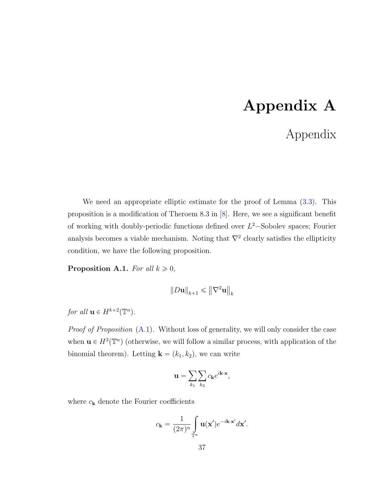## Appendix A

## Appendix

<span id="page-42-0"></span>We need an appropriate elliptic estimate for the proof of Lemma  $(3.3)$ . This proposition is a modification of Theroem 8.3 in [\[8\]](#page-49-9). Here, we see a significant benefit of working with doubly-periodic functions defined over  $L^2$ -Sobolev spaces; Fourier analysis becomes a viable mechanism. Noting that  $\nabla^2$  clearly satisfies the ellipticity condition, we have the following proposition.

<span id="page-42-1"></span>**Proposition A.1.** For all  $k \geq 0$ ,

$$
||D\mathbf{u}||_{k+1} \leqslant ||\nabla^2 \mathbf{u}||_k
$$

for all  $\mathbf{u} \in H^{k+2}(\mathbb{T}^n)$ .

*Proof of Proposition*  $(A.1)$ . Without loss of generality, we will only consider the case when  $\mathbf{u} \in H^2(\mathbb{T}^n)$  (otherwise, we will follow a similar process, with application of the binomial theorem). Letting  $\mathbf{k} = (k_1, k_2)$ , we can write

$$
\mathbf{u} = \sum_{k_1} \sum_{k_2} c_{\mathbf{k}} e^{i\mathbf{k}\cdot\mathbf{x}},
$$

where  $c_{\mathbf{k}}$  denote the Fourier coefficients

$$
c_{\mathbf{k}} = \frac{1}{(2\pi)^n} \int_{\mathbb{T}^n} \mathbf{u}(\mathbf{x}') e^{-i\mathbf{k}\cdot\mathbf{x}'} d\mathbf{x}'.
$$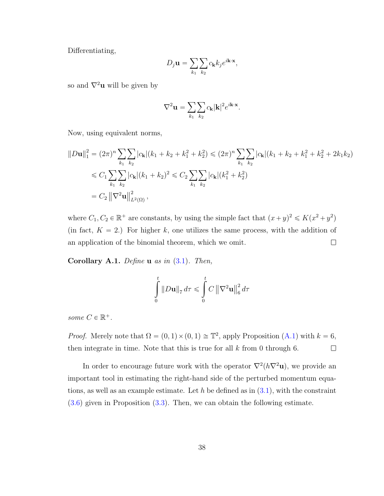Differentiating,

$$
D_j \mathbf{u} = \sum_{k_1} \sum_{k_2} c_{\mathbf{k}} k_j e^{i\mathbf{k} \cdot \mathbf{x}},
$$

so and  $\nabla^2$ **u** will be given by

$$
\nabla^2 \mathbf{u} = \sum_{k_1} \sum_{k_2} c_{\mathbf{k}} |\mathbf{k}|^2 e^{i\mathbf{k} \cdot \mathbf{x}}.
$$

Now, using equivalent norms,

$$
||D\mathbf{u}||_1^2 = (2\pi)^n \sum_{k_1} \sum_{k_2} |c_{\mathbf{k}}| (k_1 + k_2 + k_1^2 + k_2^2) \leq (2\pi)^n \sum_{k_1} \sum_{k_2} |c_{\mathbf{k}}| (k_1 + k_2 + k_1^2 + k_2^2 + 2k_1k_2)
$$
  
\n
$$
\leq C_1 \sum_{k_1} \sum_{k_2} |c_{\mathbf{k}}| (k_1 + k_2)^2 \leq C_2 \sum_{k_1} \sum_{k_2} |c_{\mathbf{k}}| (k_1^2 + k_2^2)
$$
  
\n
$$
= C_2 ||\nabla^2 \mathbf{u}||_{L^2(\Omega)}^2,
$$

where  $C_1, C_2 \in \mathbb{R}^+$  are constants, by using the simple fact that  $(x+y)^2 \leq K(x^2+y^2)$ (in fact,  $K = 2$ .) For higher k, one utilizes the same process, with the addition of an application of the binomial theorem, which we omit.  $\Box$ 

<span id="page-43-0"></span>Corollary A.1. Define  $\bf{u}$  as in  $(3.1)$ . Then,

$$
\int_{0}^{t} \|D\mathbf{u}\|_{7} d\tau \leq \int_{0}^{t} C \left\|\nabla^{2}\mathbf{u}\right\|_{6}^{2} d\tau
$$

some  $C \in \mathbb{R}^+$ .

*Proof.* Merely note that  $\Omega = (0, 1) \times (0, 1) \cong \mathbb{T}^2$ , apply Proposition [\(A.1\)](#page-42-1) with  $k = 6$ , then integrate in time. Note that this is true for all  $k$  from 0 through 6.  $\Box$ 

In order to encourage future work with the operator  $\nabla^2(h\nabla^2\mathbf{u})$ , we provide an important tool in estimating the right-hand side of the perturbed momentum equations, as well as an example estimate. Let h be defined as in  $(3.1)$ , with the constraint [\(3.6\)](#page-19-1) given in Proposition [\(3.3\)](#page-20-0). Then, we can obtain the following estimate.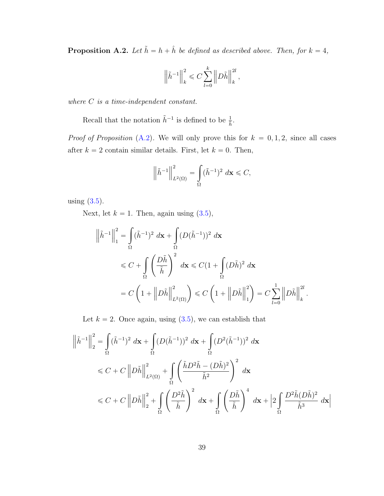<span id="page-44-0"></span>**Proposition A.2.** Let  $\tilde{h} = h + \hat{h}$  be defined as described above. Then, for  $k = 4$ ,

$$
\left\| \tilde{h}^{-1} \right\|_k^2 \leqslant C \sum_{l=0}^k \left\| D\tilde{h} \right\|_k^{2l},
$$

where C is a time-independent constant.

Recall that the notation  $\tilde{h}^{-1}$  is defined to be  $\frac{1}{\tilde{h}}$ .

*Proof of Proposition* [\(A.2\)](#page-44-0). We will only prove this for  $k = 0, 1, 2$ , since all cases after  $k = 2$  contain similar details. First, let  $k = 0$ . Then,

$$
\left\|\tilde{h}^{-1}\right\|_{L^2(\Omega)}^2 = \int\limits_{\Omega} (\tilde{h}^{-1})^2 \, d\mathbf{x} \leq C,
$$

using  $(3.5)$ .

Next, let  $k = 1$ . Then, again using  $(3.5)$ ,

$$
\left\|\tilde{h}^{-1}\right\|_{1}^{2} = \int_{\Omega} (\tilde{h}^{-1})^{2} d\mathbf{x} + \int_{\Omega} (D(\tilde{h}^{-1}))^{2} d\mathbf{x}
$$
  
\$\leq C + \int\_{\Omega} \left(\frac{D\tilde{h}}{\tilde{h}}\right)^{2} d\mathbf{x} \leq C(1 + \int\_{\Omega} (D\tilde{h})^{2} d\mathbf{x}\$  
= C\left(1 + \left\|D\tilde{h}\right\|\_{L^{2}(\Omega)}^{2}\right) \leq C\left(1 + \left\|D\tilde{h}\right\|\_{1}^{2}\right) = C\sum\_{l=0}^{1} \left\|D\tilde{h}\right\|\_{k}^{2l}.

Let  $k = 2$ . Once again, using  $(3.5)$ , we can establish that

$$
\left\|\tilde{h}^{-1}\right\|_{2}^{2} = \int_{\Omega} (\tilde{h}^{-1})^{2} d\mathbf{x} + \int_{\Omega} (D(\tilde{h}^{-1}))^{2} d\mathbf{x} + \int_{\Omega} (D^{2}(\tilde{h}^{-1}))^{2} d\mathbf{x}
$$
  
\n
$$
\leq C + C \left\|D\tilde{h}\right\|_{L^{2}(\Omega)}^{2} + \int_{\Omega} \left(\frac{\tilde{h}D^{2}\tilde{h} - (D\tilde{h})^{2}}{\tilde{h}^{2}}\right)^{2} d\mathbf{x}
$$
  
\n
$$
\leq C + C \left\|D\tilde{h}\right\|_{2}^{2} + \int_{\Omega} \left(\frac{D^{2}\tilde{h}}{\tilde{h}}\right)^{2} d\mathbf{x} + \int_{\Omega} \left(\frac{D\tilde{h}}{\tilde{h}}\right)^{4} d\mathbf{x} + \left\|2 \int_{\Omega} \frac{D^{2}\tilde{h}(D\tilde{h})^{2}}{\tilde{h}^{3}} d\mathbf{x}\right\|_{2}^{2}
$$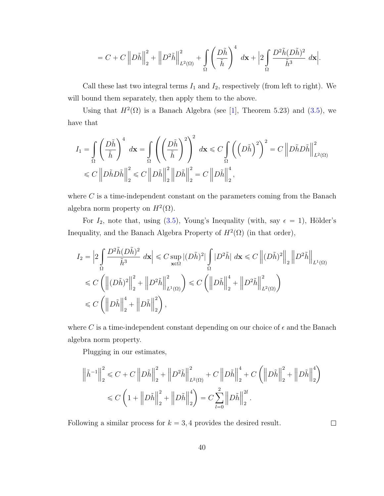$$
=C+C\left\Vert D\tilde{h}\right\Vert _{2}^{2}+\left\Vert D^{2}\tilde{h}\right\Vert _{L^{2}(\Omega)}^{2}+\int\limits_{\Omega}\left(\frac{D\tilde{h}}{\tilde{h}}\right)^{4}\; d\mathbf{x}+\Big|2\int\limits_{\Omega}\frac{D^{2}\tilde{h}(D\tilde{h})^{2}}{\tilde{h}^{3}}\; d\mathbf{x}\Big|.
$$

Call these last two integral terms  $I_1$  and  $I_2$ , respectively (from left to right). We will bound them separately, then apply them to the above.

Using that  $H^2(\Omega)$  is a Banach Algebra (see [\[1\]](#page-49-4), Theorem 5.23) and [\(3.5\)](#page-18-0), we have that

$$
I_1 = \int_{\Omega} \left( \frac{D\tilde{h}}{\tilde{h}} \right)^4 d\mathbf{x} = \int_{\Omega} \left( \left( \frac{D\tilde{h}}{\tilde{h}} \right)^2 \right)^2 d\mathbf{x} \le C \int_{\Omega} \left( \left( D\tilde{h} \right)^2 \right)^2 = C \left\| D\tilde{h} D\tilde{h} \right\|_{L^2(\Omega)}^2
$$
  

$$
\le C \left\| D\tilde{h} D\tilde{h} \right\|_2^2 \le C \left\| D\tilde{h} \right\|_2^2 \left\| D\tilde{h} \right\|_2^2 = C \left\| D\tilde{h} \right\|_2^4,
$$

where  $C$  is a time-independent constant on the parameters coming from the Banach algebra norm property on  $H^2(\Omega)$ .

For  $I_2$ , note that, using [\(3.5\)](#page-18-0), Young's Inequality (with, say  $\epsilon = 1$ ), Hölder's Inequality, and the Banach Algebra Property of  $H^2(\Omega)$  (in that order),

$$
I_2 = \left| 2 \int_{\Omega} \frac{D^2 \tilde{h}(D\tilde{h})^2}{\tilde{h}^3} d\mathbf{x} \right| \leq C \sup_{\mathbf{x} \in \Omega} |(D\tilde{h})^2| \int_{\Omega} |D^2 \tilde{h}| d\mathbf{x} \leq C \left\| (D\tilde{h})^2 \right\|_2 \left\| D^2 \tilde{h} \right\|_{L^1(\Omega)}
$$
  

$$
\leq C \left( \left\| (D\tilde{h})^2 \right\|_2^2 + \left\| D^2 \tilde{h} \right\|_{L^1(\Omega)}^2 \right) \leq C \left( \left\| D\tilde{h} \right\|_2^4 + \left\| D^2 \tilde{h} \right\|_{L^2(\Omega)}^2 \right)
$$
  

$$
\leq C \left( \left\| D\tilde{h} \right\|_2^4 + \left\| D\tilde{h} \right\|_2^2 \right),
$$

where C is a time-independent constant depending on our choice of  $\epsilon$  and the Banach algebra norm property.

Plugging in our estimates,

$$
\left\| \tilde{h}^{-1} \right\|_{2}^{2} \leq C + C \left\| D\tilde{h} \right\|_{2}^{2} + \left\| D^{2}\tilde{h} \right\|_{L^{2}(\Omega)}^{2} + C \left\| D\tilde{h} \right\|_{2}^{4} + C \left( \left\| D\tilde{h} \right\|_{2}^{2} + \left\| D\tilde{h} \right\|_{2}^{4} \right)
$$
  

$$
\leq C \left( 1 + \left\| D\tilde{h} \right\|_{2}^{2} + \left\| D\tilde{h} \right\|_{2}^{4} \right) = C \sum_{l=0}^{2} \left\| D\tilde{h} \right\|_{2}^{2l}.
$$

Following a similar process for  $k = 3, 4$  provides the desired result.

 $\Box$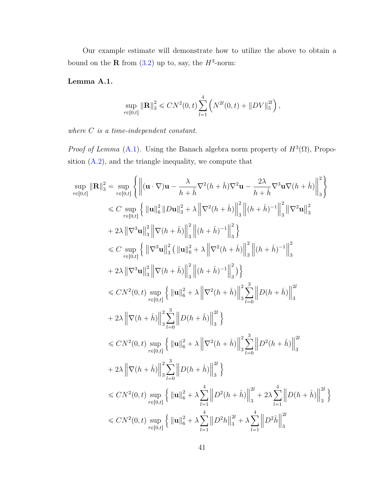Our example estimate will demonstrate how to utilize the above to obtain a bound on the **R** from  $(3.2)$  up to, say, the  $H^3$ -norm:

### <span id="page-46-0"></span>Lemma A.1.

$$
\sup_{\tau \in [0,t]} \|\mathbf{R}\|_3^2 \leqslant CN^2(0,t) \sum_{l=1}^4 \left(N^{2l}(0,t) + \|DV\|_5^{2l}\right),
$$

where *C* is a time-independent constant.

#

*Proof of Lemma* [\(A.1\)](#page-46-0). Using the Banach algebra norm property of  $H^3(\Omega)$ , Proposition [\(A.2\)](#page-44-0), and the triangle inequality, we compute that

 $\mathbb{R}^2$ 

$$
\sup_{\tau \in [0,t]} \|\mathbf{R}\|_{3}^{2} = \sup_{\tau \in [0,t]} \left\{ \left\| (\mathbf{u} \cdot \nabla) \mathbf{u} - \frac{\lambda}{h + \hat{h}} \nabla^{2}(h + \hat{h}) \nabla^{2} \mathbf{u} - \frac{2\lambda}{h + \hat{h}} \nabla^{3} \mathbf{u} \nabla (h + \hat{h}) \right\|_{3}^{2} \right\}
$$
  
\n
$$
\leq C \sup_{\tau \in [0,t]} \left\{ \|\mathbf{u}\|_{6}^{2} \|Du\|_{3}^{2} + \lambda \left\| \nabla^{2}(h + \hat{h}) \right\|_{3}^{2} \left\| (h + \hat{h})^{-1} \right\|_{3}^{2} \left\| \nabla^{2} \mathbf{u} \right\|_{3}^{2} \right\}
$$
  
\n
$$
+ 2\lambda \left\| \nabla^{3} \mathbf{u} \right\|_{3}^{2} \left\| \nabla (h + \hat{h}) \right\|_{3}^{2} \left\| (h + \hat{h})^{-1} \right\|_{3}^{2} \right\}
$$
  
\n
$$
\leq C \sup_{\tau \in [0,t]} \left\{ \left\| \nabla^{3} \mathbf{u} \right\|_{3}^{2} \left\| \mathbf{u} \right\|_{6}^{2} + \lambda \left\| \nabla^{2}(h + \hat{h}) \right\|_{3}^{2} \right\} \right\}
$$
  
\n
$$
+ 2\lambda \left\| \nabla^{3} \mathbf{u} \right\|_{3}^{2} \left\| \nabla (h + \hat{h}) \right\|_{3}^{2} \left\| (h + \hat{h})^{-1} \right\|_{3}^{2} \right\}
$$
  
\n
$$
\leq CN^{2}(0, t) \sup_{\tau \in [0,t]} \left\{ \left\| \mathbf{u} \right\|_{6}^{2} + \lambda \left\| \nabla^{2}(h + \hat{h}) \right\|_{3}^{2} \sum_{l=0}^{3} \left\| D(h + \hat{h}) \right\|_{3}^{2} \right\}
$$
  
\n
$$
+ 2\lambda \left\| \nabla (h + \
$$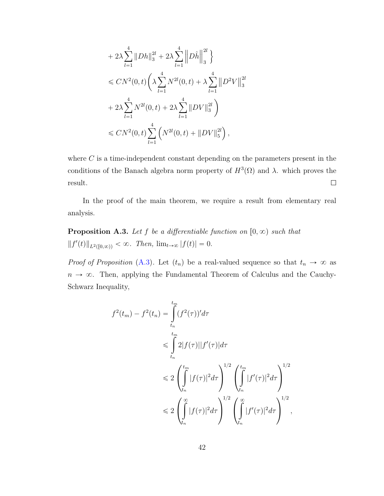$$
+ 2\lambda \sum_{l=1}^{4} ||Dh||_{3}^{2l} + 2\lambda \sum_{l=1}^{4} ||D\hat{h}||_{3}^{2l} \}
$$
  
\n
$$
\leq CN^{2}(0, t) \left( \lambda \sum_{l=1}^{4} N^{2l}(0, t) + \lambda \sum_{l=1}^{4} ||D^{2}V||_{3}^{2l} + 2\lambda \sum_{l=1}^{4} N^{2l}(0, t) + 2\lambda \sum_{l=1}^{4} ||DV||_{3}^{2l} \right)
$$
  
\n
$$
\leq CN^{2}(0, t) \sum_{l=1}^{4} \left( N^{2l}(0, t) + ||DV||_{5}^{2l} \right),
$$

where  $C$  is a time-independent constant depending on the parameters present in the conditions of the Banach algebra norm property of  $H^3(\Omega)$  and  $\lambda$ . which proves the result.  $\Box$ 

In the proof of the main theorem, we require a result from elementary real analysis.

<span id="page-47-0"></span>**Proposition A.3.** Let f be a differentiable function on  $[0, \infty)$  such that  $||f'(t)||_{L^2([0,\infty))} < \infty$ . Then,  $\lim_{t\to\infty} |f(t)| = 0$ .

*Proof of Proposition* [\(A.3\)](#page-47-0). Let  $(t_n)$  be a real-valued sequence so that  $t_n \to \infty$  as  $n \to \infty$ . Then, applying the Fundamental Theorem of Calculus and the Cauchy-Schwarz Inequality,

$$
f^{2}(t_{m}) - f^{2}(t_{n}) = \int_{t_{n}}^{t_{m}} (f^{2}(\tau))' d\tau
$$
  
\n
$$
\leq \int_{t_{n}}^{t_{m}} 2|f(\tau)||f'(\tau)| d\tau
$$
  
\n
$$
\leq 2 \left( \int_{t_{n}}^{t_{m}} |f(\tau)|^{2} d\tau \right)^{1/2} \left( \int_{t_{n}}^{t_{m}} |f'(\tau)|^{2} d\tau \right)^{1/2}
$$
  
\n
$$
\leq 2 \left( \int_{t_{n}}^{\infty} |f(\tau)|^{2} d\tau \right)^{1/2} \left( \int_{t_{n}}^{\infty} |f'(\tau)|^{2} d\tau \right)^{1/2},
$$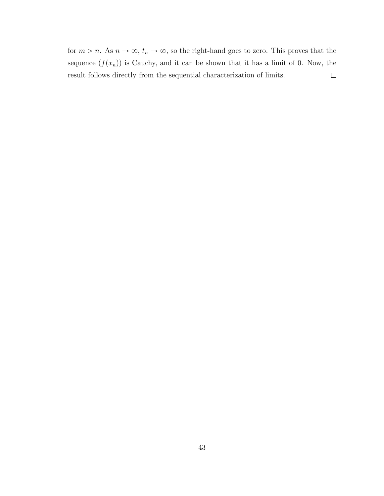for  $m > n$ . As  $n \to \infty$ ,  $t_n \to \infty$ , so the right-hand goes to zero. This proves that the sequence  $(f(x_n))$  is Cauchy, and it can be shown that it has a limit of 0. Now, the result follows directly from the sequential characterization of limits.  $\Box$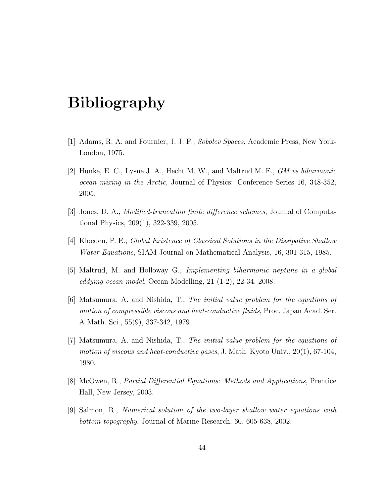## <span id="page-49-3"></span>Bibliography

- <span id="page-49-4"></span>[1] Adams, R. A. and Fournier, J. J. F., Sobolev Spaces, Academic Press, New York-London, 1975.
- <span id="page-49-6"></span>[2] Hunke, E. C., Lysne J. A., Hecht M. W., and Maltrud M. E., GM vs biharmonic ocean mixing in the Arctic, Journal of Physics: Conference Series 16, 348-352, 2005.
- <span id="page-49-5"></span>[3] Jones, D. A., Modified-truncation finite difference schemes, Journal of Computational Physics, 209(1), 322-339, 2005.
- <span id="page-49-2"></span>[4] Kloeden, P. E., Global Existence of Classical Solutions in the Dissipative Shallow Water Equations, SIAM Journal on Mathematical Analysis, 16, 301-315, 1985.
- <span id="page-49-7"></span>[5] Maltrud, M. and Holloway G., Implementing biharmonic neptune in a global eddying ocean model, Ocean Modelling, 21 (1-2), 22-34. 2008.
- <span id="page-49-0"></span>[6] Matsumura, A. and Nishida, T., The initial value problem for the equations of motion of compressible viscous and heat-conductive fluids, Proc. Japan Acad. Ser. A Math. Sci., 55(9), 337-342, 1979.
- <span id="page-49-1"></span>[7] Matsumura, A. and Nishida, T., The initial value problem for the equations of motion of viscous and heat-conductive gases, J. Math. Kyoto Univ.,  $20(1)$ ,  $67-104$ , 1980.
- <span id="page-49-9"></span>[8] McOwen, R., Partial Differential Equations: Methods and Applications, Prentice Hall, New Jersey, 2003.
- <span id="page-49-8"></span>[9] Salmon, R., Numerical solution of the two-layer shallow water equations with bottom topography, Journal of Marine Research, 60, 605-638, 2002.